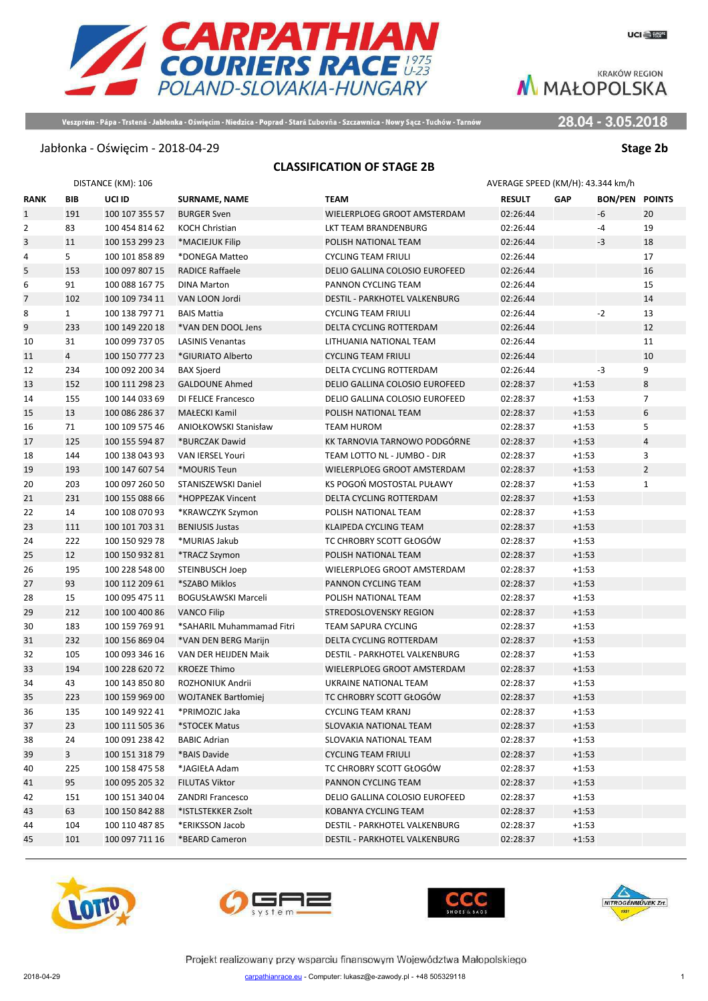28.04 - 3.05.2018

Veszprém - Pápa - Trstená - Jabłonka - Oświęcim - Niedzica - Poprad - Stará Ľubovňa - Szczawnica - Nowy Sącz - Tuchów - Tarnów

**CARPATHIAN**<br>COURIERS RACE 1975<br>POLAND-SLOVAKIA-HUNGARY

#### Jabłonka - Oświęcim - 2018-04-29 **Stage 2b**

#### **CLASSIFICATION OF STAGE 2B**

|                |                | DISTANCE (KM): 106 |                            | AVERAGE SPEED (KM/H): 43.344 km/h |               |            |                       |                |
|----------------|----------------|--------------------|----------------------------|-----------------------------------|---------------|------------|-----------------------|----------------|
| <b>RANK</b>    | BIB            | UCI ID             | <b>SURNAME, NAME</b>       | <b>TEAM</b>                       | <b>RESULT</b> | <b>GAP</b> | <b>BON/PEN POINTS</b> |                |
| $\mathbf{1}$   | 191            | 100 107 355 57     | <b>BURGER Sven</b>         | WIELERPLOEG GROOT AMSTERDAM       | 02:26:44      |            | -6                    | 20             |
| $\overline{2}$ | 83             | 100 454 814 62     | KOCH Christian             | LKT TEAM BRANDENBURG              | 02:26:44      |            | -4                    | 19             |
| 3              | 11             | 100 153 299 23     | *MACIEJUK Filip            | POLISH NATIONAL TEAM              | 02:26:44      |            | -3                    | 18             |
| 4              | 5              | 100 101 858 89     | *DONEGA Matteo             | <b>CYCLING TEAM FRIULI</b>        | 02:26:44      |            |                       | 17             |
| 5              | 153            | 100 097 807 15     | <b>RADICE Raffaele</b>     | DELIO GALLINA COLOSIO EUROFEED    | 02:26:44      |            |                       | 16             |
| 6              | 91             | 100 088 167 75     | <b>DINA Marton</b>         | PANNON CYCLING TEAM               | 02:26:44      |            |                       | 15             |
| 7              | 102            | 100 109 734 11     | VAN LOON Jordi             | DESTIL - PARKHOTEL VALKENBURG     | 02:26:44      |            |                       | 14             |
| 8              | $\mathbf{1}$   | 100 138 797 71     | <b>BAIS Mattia</b>         | <b>CYCLING TEAM FRIULI</b>        | 02:26:44      |            | $-2$                  | 13             |
| 9              | 233            | 100 149 220 18     | *VAN DEN DOOL Jens         | DELTA CYCLING ROTTERDAM           | 02:26:44      |            |                       | 12             |
| 10             | 31             | 100 099 737 05     | <b>LASINIS Venantas</b>    | LITHUANIA NATIONAL TEAM           | 02:26:44      |            |                       | 11             |
| 11             | $\overline{4}$ | 100 150 777 23     | *GIURIATO Alberto          | <b>CYCLING TEAM FRIULI</b>        | 02:26:44      |            |                       | 10             |
| 12             | 234            | 100 092 200 34     | <b>BAX Sjoerd</b>          | DELTA CYCLING ROTTERDAM           | 02:26:44      |            | $-3$                  | 9              |
| 13             | 152            | 100 111 298 23     | <b>GALDOUNE Ahmed</b>      | DELIO GALLINA COLOSIO EUROFEED    | 02:28:37      | $+1:53$    |                       | 8              |
| 14             | 155            | 100 144 033 69     | DI FELICE Francesco        | DELIO GALLINA COLOSIO EUROFEED    | 02:28:37      | $+1:53$    |                       | $\overline{7}$ |
| 15             | 13             | 100 086 286 37     | MAŁECKI Kamil              | POLISH NATIONAL TEAM              | 02:28:37      | $+1:53$    |                       | 6              |
| 16             | 71             | 100 109 575 46     | ANIOŁKOWSKI Stanisław      | <b>TEAM HUROM</b>                 | 02:28:37      | $+1:53$    |                       | 5              |
| 17             | 125            | 100 155 594 87     | *BURCZAK Dawid             | KK TARNOVIA TARNOWO PODGÓRNE      | 02:28:37      | $+1:53$    |                       | $\overline{4}$ |
| 18             | 144            | 100 138 043 93     | VAN IERSEL Youri           | TEAM LOTTO NL - JUMBO - DJR       | 02:28:37      | $+1:53$    |                       | 3              |
| 19             | 193            | 100 147 607 54     | *MOURIS Teun               | WIELERPLOEG GROOT AMSTERDAM       | 02:28:37      | $+1:53$    |                       | $\overline{2}$ |
| 20             | 203            | 100 097 260 50     | STANISZEWSKI Daniel        | KS POGOŃ MOSTOSTAL PUŁAWY         | 02:28:37      | $+1:53$    |                       | $\mathbf{1}$   |
| 21             | 231            | 100 155 088 66     | *HOPPEZAK Vincent          | DELTA CYCLING ROTTERDAM           | 02:28:37      | $+1:53$    |                       |                |
| 22             | 14             | 100 108 070 93     | *KRAWCZYK Szymon           | POLISH NATIONAL TEAM              | 02:28:37      | $+1:53$    |                       |                |
| 23             | 111            | 100 101 703 31     | <b>BENIUSIS Justas</b>     | KLAIPEDA CYCLING TEAM             | 02:28:37      | $+1:53$    |                       |                |
| 24             | 222            | 100 150 929 78     | *MURIAS Jakub              | TC CHROBRY SCOTT GŁOGÓW           | 02:28:37      | $+1:53$    |                       |                |
| 25             | 12             | 100 150 932 81     | *TRACZ Szymon              | POLISH NATIONAL TEAM              | 02:28:37      | $+1:53$    |                       |                |
| 26             | 195            | 100 228 548 00     | STEINBUSCH Joep            | WIELERPLOEG GROOT AMSTERDAM       | 02:28:37      | $+1:53$    |                       |                |
| 27             | 93             | 100 112 209 61     | *SZABO Miklos              | PANNON CYCLING TEAM               | 02:28:37      | $+1:53$    |                       |                |
| 28             | 15             | 100 095 475 11     | <b>BOGUSŁAWSKI Marceli</b> | POLISH NATIONAL TEAM              | 02:28:37      | $+1:53$    |                       |                |
| 29             | 212            | 100 100 400 86     | <b>VANCO Filip</b>         | STREDOSLOVENSKY REGION            | 02:28:37      | $+1:53$    |                       |                |
| 30             | 183            | 100 159 769 91     | *SAHARIL Muhammamad Fitri  | <b>TEAM SAPURA CYCLING</b>        | 02:28:37      | $+1:53$    |                       |                |
| 31             | 232            | 100 156 869 04     | *VAN DEN BERG Marijn       | DELTA CYCLING ROTTERDAM           | 02:28:37      | $+1:53$    |                       |                |
| 32             | 105            | 100 093 346 16     | VAN DER HEIJDEN Maik       | DESTIL - PARKHOTEL VALKENBURG     | 02:28:37      | $+1:53$    |                       |                |
| 33             | 194            | 100 228 620 72     | <b>KROEZE Thimo</b>        | WIELERPLOEG GROOT AMSTERDAM       | 02:28:37      | $+1:53$    |                       |                |
| 34             | 43             | 100 143 850 80     | ROZHONIUK Andrii           | UKRAINE NATIONAL TEAM             | 02:28:37      | $+1:53$    |                       |                |
| 35             | 223            | 100 159 969 00     | <b>WOJTANEK Bartłomiei</b> | TC CHROBRY SCOTT GŁOGÓW           | 02:28:37      | $+1:53$    |                       |                |
| 36             | 135            | 100 149 922 41     | *PRIMOZIC Jaka             | CYCLING TEAM KRANJ                | 02:28:37      | $+1:53$    |                       |                |
| 37             | 23             | 100 111 505 36     | *STOCEK Matus              | SLOVAKIA NATIONAL TEAM            | 02:28:37      | $+1:53$    |                       |                |
| 38             | 24             | 100 091 238 42     | <b>BABIC Adrian</b>        | SLOVAKIA NATIONAL TEAM            | 02:28:37      | $+1:53$    |                       |                |
| 39             | 3 <sup>1</sup> | 100 151 318 79     | *BAIS Davide               | <b>CYCLING TEAM FRIULI</b>        | 02:28:37      | $+1:53$    |                       |                |
| 40             | 225            | 100 158 475 58     | *JAGIEŁA Adam              | TC CHROBRY SCOTT GŁOGÓW           | 02:28:37      | $+1:53$    |                       |                |
| 41             | 95             | 100 095 205 32     | <b>FILUTAS Viktor</b>      | PANNON CYCLING TEAM               | 02:28:37      | $+1:53$    |                       |                |
| 42             | 151            | 100 151 340 04     | <b>ZANDRI Francesco</b>    | DELIO GALLINA COLOSIO EUROFEED    | 02:28:37      | $+1:53$    |                       |                |
| 43             | 63             | 100 150 842 88     | *ISTLSTEKKER Zsolt         | KOBANYA CYCLING TEAM              | 02:28:37      | $+1:53$    |                       |                |
| 44             | 104            | 100 110 487 85     | *ERIKSSON Jacob            | DESTIL - PARKHOTEL VALKENBURG     | 02:28:37      | $+1:53$    |                       |                |
| 45             | 101            | 100 097 711 16     | *BEARD Cameron             | DESTIL - PARKHOTEL VALKENBURG     | 02:28:37      | $+1:53$    |                       |                |







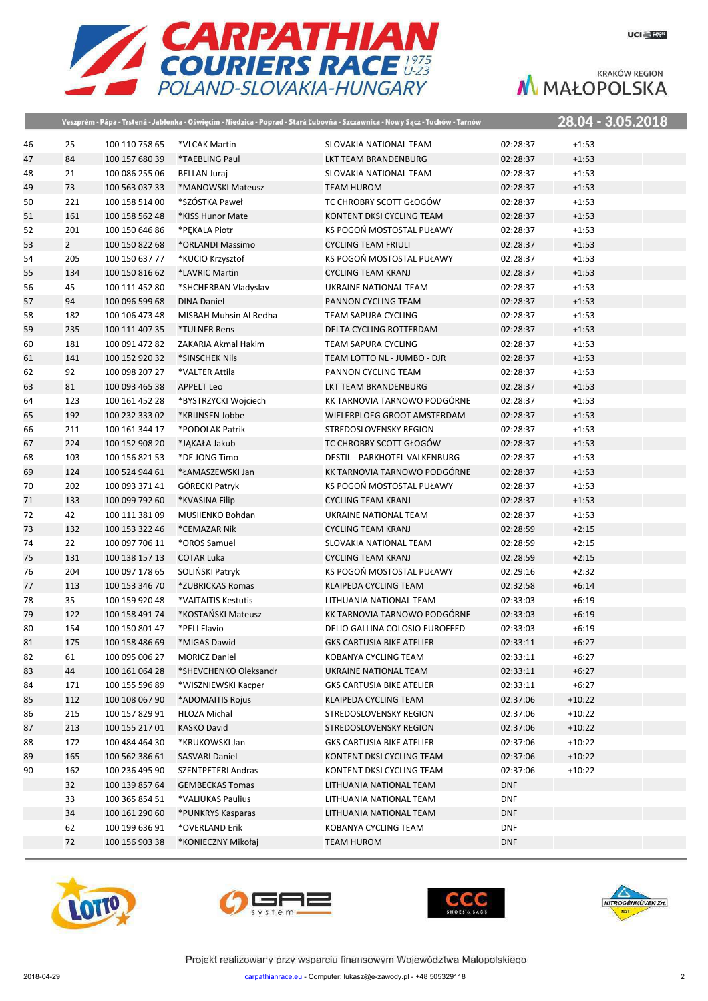

|    |             |                |                        | Veszprém - Pápa - Trstená - Jabłonka - Oświęcim - Niedzica - Poprad - Stará Ľubovňa - Szczawnica - Nowy Sącz - Tuchów - Tarnów |            |          | 28.04 - 3.05.2018 |
|----|-------------|----------------|------------------------|--------------------------------------------------------------------------------------------------------------------------------|------------|----------|-------------------|
| 46 | 25          | 100 110 758 65 | *VLCAK Martin          | SLOVAKIA NATIONAL TEAM                                                                                                         | 02:28:37   | $+1:53$  |                   |
| 47 | 84          | 100 157 680 39 | *TAEBLING Paul         | LKT TEAM BRANDENBURG                                                                                                           | 02:28:37   | $+1:53$  |                   |
| 48 | 21          | 100 086 255 06 | <b>BELLAN Juraj</b>    | SLOVAKIA NATIONAL TEAM                                                                                                         | 02:28:37   | $+1:53$  |                   |
| 49 | 73          | 100 563 037 33 | *MANOWSKI Mateusz      | <b>TEAM HUROM</b>                                                                                                              | 02:28:37   | $+1:53$  |                   |
| 50 | 221         | 100 158 514 00 | *SZÓSTKA Paweł         | TC CHROBRY SCOTT GŁOGÓW                                                                                                        | 02:28:37   | $+1:53$  |                   |
| 51 | 161         | 100 158 562 48 | *KISS Hunor Mate       | KONTENT DKSI CYCLING TEAM                                                                                                      | 02:28:37   | $+1:53$  |                   |
| 52 | 201         | 100 150 646 86 | *PEKALA Piotr          | KS POGOŃ MOSTOSTAL PUŁAWY                                                                                                      | 02:28:37   | $+1:53$  |                   |
| 53 | $2^{\circ}$ | 100 150 822 68 | *ORLANDI Massimo       | <b>CYCLING TEAM FRIULI</b>                                                                                                     | 02:28:37   | $+1:53$  |                   |
| 54 | 205         | 100 150 637 77 | *KUCIO Krzysztof       | KS POGOŃ MOSTOSTAL PUŁAWY                                                                                                      | 02:28:37   | $+1:53$  |                   |
| 55 | 134         | 100 150 816 62 | *LAVRIC Martin         | <b>CYCLING TEAM KRANJ</b>                                                                                                      | 02:28:37   | $+1:53$  |                   |
| 56 | 45          | 100 111 452 80 | *SHCHERBAN Vladyslav   | UKRAINE NATIONAL TEAM                                                                                                          | 02:28:37   | $+1:53$  |                   |
| 57 | 94          | 100 096 599 68 | <b>DINA Daniel</b>     | PANNON CYCLING TEAM                                                                                                            | 02:28:37   | $+1:53$  |                   |
| 58 | 182         | 100 106 473 48 | MISBAH Muhsin Al Redha | <b>TEAM SAPURA CYCLING</b>                                                                                                     | 02:28:37   | $+1:53$  |                   |
| 59 | 235         | 100 111 407 35 | *TULNER Rens           | DELTA CYCLING ROTTERDAM                                                                                                        | 02:28:37   | $+1:53$  |                   |
| 60 | 181         | 100 091 472 82 | ZAKARIA Akmal Hakim    | <b>TEAM SAPURA CYCLING</b>                                                                                                     | 02:28:37   | $+1:53$  |                   |
| 61 | 141         | 100 152 920 32 | *SINSCHEK Nils         | TEAM LOTTO NL - JUMBO - DJR                                                                                                    | 02:28:37   | $+1:53$  |                   |
| 62 | 92          | 100 098 207 27 | *VALTER Attila         | PANNON CYCLING TEAM                                                                                                            | 02:28:37   | $+1:53$  |                   |
| 63 | 81          | 100 093 465 38 | <b>APPELT Leo</b>      | LKT TEAM BRANDENBURG                                                                                                           | 02:28:37   | $+1:53$  |                   |
| 64 | 123         | 100 161 452 28 | *BYSTRZYCKI Wojciech   | KK TARNOVIA TARNOWO PODGÓRNE                                                                                                   | 02:28:37   | $+1:53$  |                   |
| 65 | 192         | 100 232 333 02 | *KRIJNSEN Jobbe        | WIELERPLOEG GROOT AMSTERDAM                                                                                                    | 02:28:37   | $+1:53$  |                   |
| 66 | 211         | 100 161 344 17 | *PODOLAK Patrik        | STREDOSLOVENSKY REGION                                                                                                         | 02:28:37   | $+1:53$  |                   |
| 67 | 224         | 100 152 908 20 | *JAKAŁA Jakub          | TC CHROBRY SCOTT GŁOGÓW                                                                                                        | 02:28:37   | $+1:53$  |                   |
| 68 | 103         | 100 156 821 53 | *DE JONG Timo          | DESTIL - PARKHOTEL VALKENBURG                                                                                                  | 02:28:37   | $+1:53$  |                   |
| 69 | 124         | 100 524 944 61 | *ŁAMASZEWSKI Jan       | KK TARNOVIA TARNOWO PODGÓRNE                                                                                                   | 02:28:37   | $+1:53$  |                   |
| 70 | 202         | 100 093 371 41 | GÓRECKI Patryk         | KS POGOŃ MOSTOSTAL PUŁAWY                                                                                                      | 02:28:37   | $+1:53$  |                   |
| 71 | 133         | 100 099 792 60 | *KVASINA Filip         | <b>CYCLING TEAM KRANJ</b>                                                                                                      | 02:28:37   | $+1:53$  |                   |
| 72 | 42          | 100 111 381 09 | MUSIIENKO Bohdan       | UKRAINE NATIONAL TEAM                                                                                                          | 02:28:37   | $+1:53$  |                   |
| 73 | 132         | 100 153 322 46 | *CEMAZAR Nik           | <b>CYCLING TEAM KRANJ</b>                                                                                                      | 02:28:59   | $+2:15$  |                   |
| 74 | 22          | 100 097 706 11 | *OROS Samuel           | SLOVAKIA NATIONAL TEAM                                                                                                         | 02:28:59   | $+2:15$  |                   |
| 75 | 131         | 100 138 157 13 | <b>COTAR Luka</b>      | <b>CYCLING TEAM KRANJ</b>                                                                                                      | 02:28:59   | $+2:15$  |                   |
| 76 | 204         | 100 097 178 65 | SOLIŃSKI Patryk        | KS POGOŃ MOSTOSTAL PUŁAWY                                                                                                      | 02:29:16   | $+2:32$  |                   |
| 77 | 113         | 100 153 346 70 | *ZUBRICKAS Romas       | KLAIPEDA CYCLING TEAM                                                                                                          | 02:32:58   | $+6:14$  |                   |
| 78 | 35          | 100 159 920 48 | *VAITAITIS Kestutis    | LITHUANIA NATIONAL TEAM                                                                                                        | 02:33:03   | $+6:19$  |                   |
| 79 | 122         | 100 158 491 74 | *KOSTAŃSKI Mateusz     | KK TARNOVIA TARNOWO PODGÓRNE                                                                                                   | 02:33:03   | $+6:19$  |                   |
| 80 | 154         | 100 150 801 47 | *PELI Flavio           | DELIO GALLINA COLOSIO EUROFEED                                                                                                 | 02:33:03   | $+6:19$  |                   |
| 81 | 175         | 100 158 486 69 | *MIGAS Dawid           | <b>GKS CARTUSIA BIKE ATELIER</b>                                                                                               | 02:33:11   | $+6:27$  |                   |
| 82 | 61          | 100 095 006 27 | <b>MORICZ Daniel</b>   | KOBANYA CYCLING TEAM                                                                                                           | 02:33:11   | $+6:27$  |                   |
| 83 | 44          | 100 161 064 28 | *SHEVCHENKO Oleksandr  | UKRAINE NATIONAL TEAM                                                                                                          | 02:33:11   | $+6:27$  |                   |
| 84 | 171         | 100 155 596 89 | *WISZNIEWSKI Kacper    | <b>GKS CARTUSIA BIKE ATELIER</b>                                                                                               | 02:33:11   | $+6:27$  |                   |
| 85 | 112         | 100 108 067 90 | *ADOMAITIS Rojus       | KLAIPEDA CYCLING TEAM                                                                                                          | 02:37:06   | $+10:22$ |                   |
| 86 | 215         | 100 157 829 91 | HLOZA Michal           | STREDOSLOVENSKY REGION                                                                                                         | 02:37:06   | $+10:22$ |                   |
| 87 | 213         | 100 155 217 01 | KASKO David            | STREDOSLOVENSKY REGION                                                                                                         | 02:37:06   | $+10:22$ |                   |
| 88 | 172         | 100 484 464 30 | *KRUKOWSKI Jan         | <b>GKS CARTUSIA BIKE ATELIER</b>                                                                                               | 02:37:06   | $+10:22$ |                   |
| 89 | 165         | 100 562 386 61 | SASVARI Daniel         | KONTENT DKSI CYCLING TEAM                                                                                                      | 02:37:06   | $+10:22$ |                   |
| 90 | 162         | 100 236 495 90 | SZENTPETERI Andras     | KONTENT DKSI CYCLING TEAM                                                                                                      | 02:37:06   | $+10:22$ |                   |
|    | 32          | 100 139 857 64 | <b>GEMBECKAS Tomas</b> | LITHUANIA NATIONAL TEAM                                                                                                        | <b>DNF</b> |          |                   |
|    | 33          | 100 365 854 51 | *VALIUKAS Paulius      | LITHUANIA NATIONAL TEAM                                                                                                        | <b>DNF</b> |          |                   |
|    | 34          | 100 161 290 60 | *PUNKRYS Kasparas      | LITHUANIA NATIONAL TEAM                                                                                                        | <b>DNF</b> |          |                   |
|    | 62          | 100 199 636 91 | *OVERLAND Erik         | KOBANYA CYCLING TEAM                                                                                                           | <b>DNF</b> |          |                   |
|    | 72          | 100 156 903 38 | *KONIECZNY Mikołaj     | <b>TEAM HUROM</b>                                                                                                              | <b>DNF</b> |          |                   |
|    |             |                |                        |                                                                                                                                |            |          |                   |







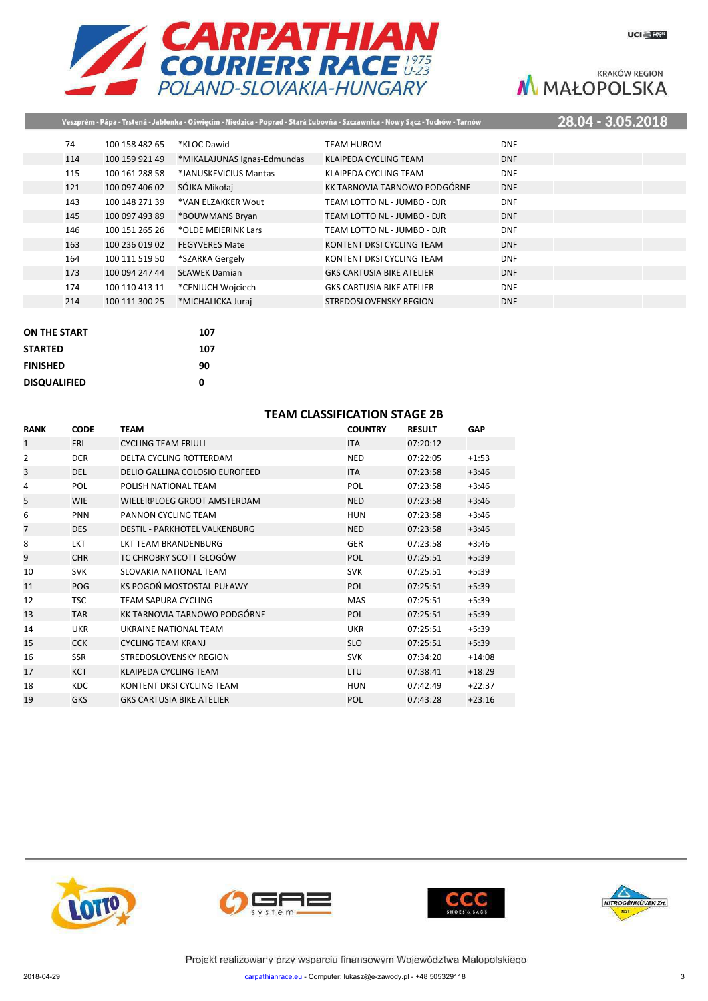



| 28.04 - 3.05.2018<br>Veszprém - Pápa - Trstená - Jabłonka - Oświęcim - Niedzica - Poprad - Stará Ľubovňa - Szczawnica - Nowy Sącz - Tuchów - Tarnów |                |                             |                                  |            |  |  |  |
|-----------------------------------------------------------------------------------------------------------------------------------------------------|----------------|-----------------------------|----------------------------------|------------|--|--|--|
| 74                                                                                                                                                  | 100 158 482 65 | *KLOC Dawid                 | TEAM HUROM                       | <b>DNF</b> |  |  |  |
| 114                                                                                                                                                 | 100 159 921 49 | *MIKALAJUNAS Ignas-Edmundas | KLAIPEDA CYCLING TEAM            | <b>DNF</b> |  |  |  |
| 115                                                                                                                                                 | 100 161 288 58 | *JANUSKEVICIUS Mantas       | KLAIPEDA CYCLING TEAM            | <b>DNF</b> |  |  |  |
| 121                                                                                                                                                 | 100 097 406 02 | SÓJKA Mikołaj               | KK TARNOVIA TARNOWO PODGÓRNE     | <b>DNF</b> |  |  |  |
| 143                                                                                                                                                 | 100 148 271 39 | *VAN ELZAKKER Wout          | TEAM LOTTO NL - JUMBO - DJR      | <b>DNF</b> |  |  |  |
| 145                                                                                                                                                 | 100 097 493 89 | *BOUWMANS Bryan             | TEAM LOTTO NL - JUMBO - DJR      | <b>DNF</b> |  |  |  |
| 146                                                                                                                                                 | 100 151 265 26 | *OLDE MEIERINK Lars         | TEAM LOTTO NL - JUMBO - DJR      | <b>DNF</b> |  |  |  |
| 163                                                                                                                                                 | 100 236 019 02 | <b>FEGYVERES Mate</b>       | KONTENT DKSI CYCLING TEAM        | <b>DNF</b> |  |  |  |
| 164                                                                                                                                                 | 100 111 519 50 | *SZARKA Gergely             | KONTENT DKSI CYCLING TEAM        | <b>DNF</b> |  |  |  |
| 173                                                                                                                                                 | 100 094 247 44 | <b>SŁAWEK Damian</b>        | <b>GKS CARTUSIA BIKE ATELIER</b> | <b>DNF</b> |  |  |  |
| 174                                                                                                                                                 | 100 110 413 11 | *CENIUCH Wojciech           | <b>GKS CARTUSIA BIKE ATELIER</b> | <b>DNF</b> |  |  |  |
| 214                                                                                                                                                 | 100 111 300 25 | *MICHALICKA Juraj           | STREDOSLOVENSKY REGION           | <b>DNF</b> |  |  |  |

| <b>ON THE START</b> | 107 |
|---------------------|-----|
| <b>STARTED</b>      | 107 |
| <b>FINISHED</b>     | 90  |
| <b>DISQUALIFIED</b> | ŋ   |

### **TEAM CLASSIFICATION STAGE 2B**

| <b>RANK</b>  | <b>CODE</b> | <b>TEAM</b>                          | <b>COUNTRY</b> | <b>RESULT</b> | <b>GAP</b> |
|--------------|-------------|--------------------------------------|----------------|---------------|------------|
| $\mathbf{1}$ | <b>FRI</b>  | <b>CYCLING TEAM FRIULI</b>           | <b>ITA</b>     | 07:20:12      |            |
| 2            | <b>DCR</b>  | DELTA CYCLING ROTTERDAM              | <b>NED</b>     | 07:22:05      | $+1:53$    |
| 3            | <b>DEL</b>  | DELIO GALLINA COLOSIO EUROFEED       | <b>ITA</b>     | 07:23:58      | $+3:46$    |
| 4            | <b>POL</b>  | POLISH NATIONAL TEAM                 | POL            | 07:23:58      | $+3:46$    |
| 5            | <b>WIE</b>  | WIELERPLOEG GROOT AMSTERDAM          | <b>NED</b>     | 07:23:58      | $+3:46$    |
| 6            | <b>PNN</b>  | PANNON CYCLING TEAM                  | <b>HUN</b>     | 07:23:58      | $+3:46$    |
| 7            | <b>DES</b>  | <b>DESTIL - PARKHOTEL VALKENBURG</b> | <b>NED</b>     | 07:23:58      | $+3:46$    |
| 8            | LKT         | LKT TEAM BRANDENBURG                 | <b>GER</b>     | 07:23:58      | $+3:46$    |
| 9            | <b>CHR</b>  | TC CHROBRY SCOTT GŁOGÓW              | POL            | 07:25:51      | $+5:39$    |
| 10           | <b>SVK</b>  | SLOVAKIA NATIONAL TEAM               | <b>SVK</b>     | 07:25:51      | $+5:39$    |
| 11           | <b>POG</b>  | KS POGOŃ MOSTOSTAL PUŁAWY            | POL            | 07:25:51      | $+5:39$    |
| 12           | <b>TSC</b>  | <b>TEAM SAPURA CYCLING</b>           | <b>MAS</b>     | 07:25:51      | $+5:39$    |
| 13           | <b>TAR</b>  | KK TARNOVIA TARNOWO PODGÓRNE         | POL            | 07:25:51      | $+5:39$    |
| 14           | <b>UKR</b>  | UKRAINE NATIONAL TEAM                | <b>UKR</b>     | 07:25:51      | $+5:39$    |
| 15           | <b>CCK</b>  | <b>CYCLING TEAM KRANJ</b>            | <b>SLO</b>     | 07:25:51      | $+5:39$    |
| 16           | <b>SSR</b>  | STREDOSLOVENSKY REGION               | <b>SVK</b>     | 07:34:20      | $+14:08$   |
| 17           | <b>KCT</b>  | KLAIPEDA CYCLING TEAM                | LTU            | 07:38:41      | $+18:29$   |
| 18           | <b>KDC</b>  | KONTENT DKSI CYCLING TEAM            | <b>HUN</b>     | 07:42:49      | $+22:37$   |
| 19           | <b>GKS</b>  | <b>GKS CARTUSIA BIKE ATELIER</b>     | POL            | 07:43:28      | $+23:16$   |







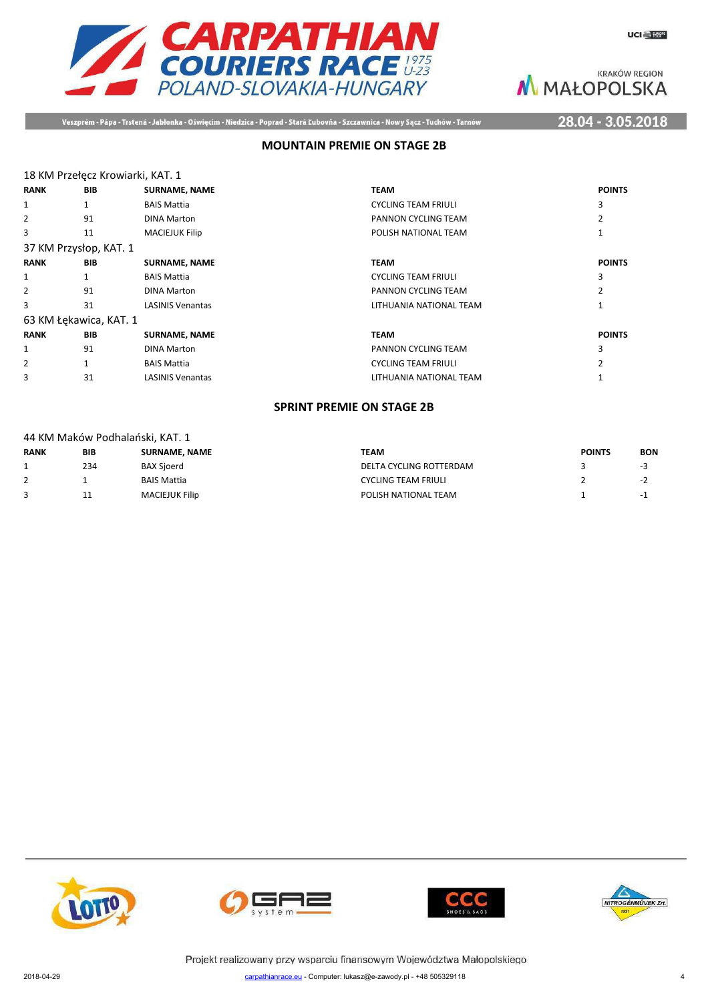



Veszprém - Pápa - Trstená - Jabłonka - Oświęcim - Niedzica - Poprad - Stará Ľubovňa - Szczawnica - Nowy Sącz - Tuchów - Tarnów

28.04 - 3.05.2018

### **MOUNTAIN PREMIE ON STAGE 2B**

|  | 18 KM Przełęcz Krowiarki, KAT. 1 |  |
|--|----------------------------------|--|

| <b>RANK</b>            | <b>BIB</b>             | <b>SURNAME, NAME</b>    | <b>TEAM</b>                | <b>POINTS</b> |
|------------------------|------------------------|-------------------------|----------------------------|---------------|
| 1                      |                        | <b>BAIS Mattia</b>      | <b>CYCLING TEAM FRIULI</b> | 3             |
| 2                      | 91                     | <b>DINA Marton</b>      | PANNON CYCLING TEAM        |               |
| 3                      | 11                     | <b>MACIEJUK Filip</b>   | POLISH NATIONAL TEAM       |               |
| 37 KM Przysłop, KAT. 1 |                        |                         |                            |               |
| <b>RANK</b>            | BIB                    | <b>SURNAME, NAME</b>    | <b>TEAM</b>                | <b>POINTS</b> |
| 1                      |                        | <b>BAIS Mattia</b>      | <b>CYCLING TEAM FRIULI</b> | 3             |
| 2                      | 91                     | <b>DINA Marton</b>      | PANNON CYCLING TEAM        |               |
| 3                      | 31                     | <b>LASINIS Venantas</b> | LITHUANIA NATIONAL TEAM    |               |
|                        | 63 KM Łękawica, KAT. 1 |                         |                            |               |
| <b>RANK</b>            | <b>BIB</b>             | <b>SURNAME, NAME</b>    | <b>TEAM</b>                | <b>POINTS</b> |
| 1                      | 91                     | <b>DINA Marton</b>      | PANNON CYCLING TEAM        | 3             |
| 2                      |                        | <b>BAIS Mattia</b>      | <b>CYCLING TEAM FRIULI</b> |               |
| 3                      | 31                     | <b>LASINIS Venantas</b> | LITHUANIA NATIONAL TEAM    |               |

#### **SPRINT PREMIE ON STAGE 2B**

|  | 44 KM Maków Podhalański, KAT. 1 |  |
|--|---------------------------------|--|
|  |                                 |  |

| <b>RANK</b> | <b>BIB</b> | <b>SURNAME, NAME</b>  | TEAM                       | <b>POINTS</b> | <b>BON</b> |
|-------------|------------|-----------------------|----------------------------|---------------|------------|
|             | 234        | <b>BAX Sioerd</b>     | DELTA CYCLING ROTTERDAM    |               | - -        |
|             |            | BAIS Mattia           | <b>CYCLING TEAM FRIULI</b> |               |            |
|             | ᆠ          | <b>MACIEJUK Filip</b> | POLISH NATIONAL TEAM       |               | $-1$       |







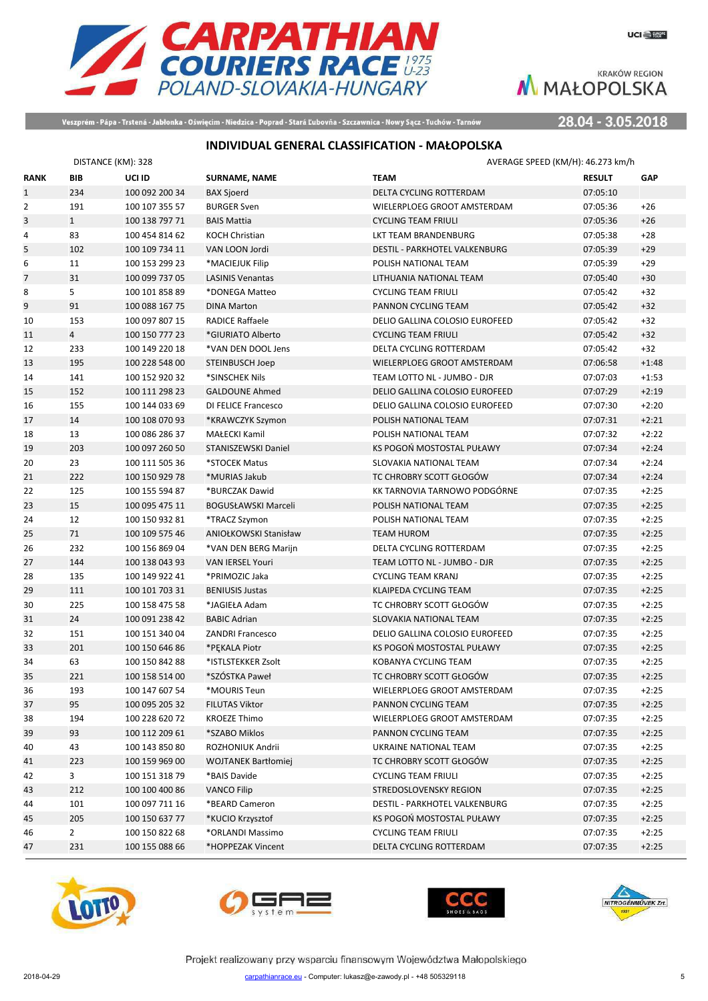

Veszprém - Pápa - Trstená - Jabłonka - Oświęcim - Niedzica - Poprad - Stará Ľubovňa - Szczawnica - Nowy Sącz - Tuchów - Tarnów

28.04 - 3.05.2018

## **INDIVIDUAL GENERAL CLASSIFICATION - MAŁOPOLSKA**

|                | DISTANCE (KM): 328 |                |                            |                                | AVERAGE SPEED (KM/H): 46.273 km/h |            |
|----------------|--------------------|----------------|----------------------------|--------------------------------|-----------------------------------|------------|
| <b>RANK</b>    | BIB                | UCI ID         | <b>SURNAME, NAME</b>       | <b>TEAM</b>                    | <b>RESULT</b>                     | <b>GAP</b> |
| $\mathbf{1}$   | 234                | 100 092 200 34 | <b>BAX Sjoerd</b>          | <b>DELTA CYCLING ROTTERDAM</b> | 07:05:10                          |            |
| $\overline{2}$ | 191                | 100 107 355 57 | <b>BURGER Sven</b>         | WIELERPLOEG GROOT AMSTERDAM    | 07:05:36                          | $+26$      |
| 3              | $\mathbf{1}$       | 100 138 797 71 | <b>BAIS Mattia</b>         | <b>CYCLING TEAM FRIULI</b>     | 07:05:36                          | $+26$      |
| 4              | 83                 | 100 454 814 62 | <b>KOCH Christian</b>      | LKT TEAM BRANDENBURG           | 07:05:38                          | $+28$      |
| 5              | 102                | 100 109 734 11 | VAN LOON Jordi             | DESTIL - PARKHOTEL VALKENBURG  | 07:05:39                          | $+29$      |
| 6              | 11                 | 100 153 299 23 | *MACIEJUK Filip            | POLISH NATIONAL TEAM           | 07:05:39                          | $+29$      |
| $\overline{7}$ | 31                 | 100 099 737 05 | <b>LASINIS Venantas</b>    | LITHUANIA NATIONAL TEAM        | 07:05:40                          | $+30$      |
| 8              | 5                  | 100 101 858 89 | *DONEGA Matteo             | <b>CYCLING TEAM FRIULI</b>     | 07:05:42                          | $+32$      |
| 9              | 91                 | 100 088 167 75 | <b>DINA Marton</b>         | PANNON CYCLING TEAM            | 07:05:42                          | $+32$      |
| 10             | 153                | 100 097 807 15 | <b>RADICE Raffaele</b>     | DELIO GALLINA COLOSIO EUROFEED | 07:05:42                          | $+32$      |
| 11             | $\overline{4}$     | 100 150 777 23 | *GIURIATO Alberto          | <b>CYCLING TEAM FRIULI</b>     | 07:05:42                          | $+32$      |
| 12             | 233                | 100 149 220 18 | *VAN DEN DOOL Jens         | DELTA CYCLING ROTTERDAM        | 07:05:42                          | $+32$      |
| 13             | 195                | 100 228 548 00 | STEINBUSCH Joep            | WIELERPLOEG GROOT AMSTERDAM    | 07:06:58                          | $+1:48$    |
| 14             | 141                | 100 152 920 32 | *SINSCHEK Nils             | TEAM LOTTO NL - JUMBO - DJR    | 07:07:03                          | $+1:53$    |
| 15             | 152                | 100 111 298 23 | <b>GALDOUNE Ahmed</b>      | DELIO GALLINA COLOSIO EUROFEED | 07:07:29                          | $+2:19$    |
| 16             | 155                | 100 144 033 69 | DI FELICE Francesco        | DELIO GALLINA COLOSIO EUROFEED | 07:07:30                          | $+2:20$    |
| 17             | 14                 | 100 108 070 93 | *KRAWCZYK Szymon           | POLISH NATIONAL TEAM           | 07:07:31                          | $+2:21$    |
| 18             | 13                 | 100 086 286 37 | <b>MAŁECKI Kamil</b>       | POLISH NATIONAL TEAM           | 07:07:32                          | $+2:22$    |
| 19             | 203                | 100 097 260 50 | STANISZEWSKI Daniel        | KS POGOŃ MOSTOSTAL PUŁAWY      | 07:07:34                          | $+2:24$    |
| 20             | 23                 | 100 111 505 36 | *STOCEK Matus              | SLOVAKIA NATIONAL TEAM         | 07:07:34                          | $+2:24$    |
| 21             | 222                | 100 150 929 78 | *MURIAS Jakub              | TC CHROBRY SCOTT GŁOGÓW        | 07:07:34                          | $+2:24$    |
| 22             | 125                | 100 155 594 87 | *BURCZAK Dawid             | KK TARNOVIA TARNOWO PODGÓRNE   | 07:07:35                          | $+2:25$    |
| 23             | 15                 | 100 095 475 11 | <b>BOGUSŁAWSKI Marceli</b> | POLISH NATIONAL TEAM           | 07:07:35                          | $+2:25$    |
| 24             | 12                 | 100 150 932 81 | *TRACZ Szymon              | POLISH NATIONAL TEAM           | 07:07:35                          | $+2:25$    |
| 25             | 71                 | 100 109 575 46 | ANIOŁKOWSKI Stanisław      | <b>TEAM HUROM</b>              | 07:07:35                          | $+2:25$    |
| 26             | 232                | 100 156 869 04 | *VAN DEN BERG Marijn       | DELTA CYCLING ROTTERDAM        | 07:07:35                          | $+2:25$    |
| 27             | 144                | 100 138 043 93 | <b>VAN IERSEL Youri</b>    | TEAM LOTTO NL - JUMBO - DJR    | 07:07:35                          | $+2:25$    |
| 28             | 135                | 100 149 922 41 | *PRIMOZIC Jaka             | <b>CYCLING TEAM KRANJ</b>      | 07:07:35                          | $+2:25$    |
| 29             | 111                | 100 101 703 31 | <b>BENIUSIS Justas</b>     | KLAIPEDA CYCLING TEAM          | 07:07:35                          | $+2:25$    |
| 30             | 225                | 100 158 475 58 | *JAGIEŁA Adam              | TC CHROBRY SCOTT GŁOGÓW        | 07:07:35                          | $+2:25$    |
| 31             | 24                 | 100 091 238 42 | <b>BABIC Adrian</b>        | SLOVAKIA NATIONAL TEAM         | 07:07:35                          | $+2:25$    |
| 32             | 151                | 100 151 340 04 | <b>ZANDRI Francesco</b>    | DELIO GALLINA COLOSIO EUROFEED | 07:07:35                          | $+2:25$    |
| 33             | 201                | 100 150 646 86 | *PEKALA Piotr              | KS POGOŃ MOSTOSTAL PUŁAWY      | 07:07:35                          | $+2:25$    |
| 34             | 63                 | 100 150 842 88 | *ISTLSTEKKER Zsolt         | KOBANYA CYCLING TEAM           | 07:07:35                          | $+2:25$    |
| 35             | 221                | 100 158 514 00 | *SZÓSTKA Paweł             | TC CHROBRY SCOTT GŁOGÓW        | 07:07:35                          | $+2:25$    |
| 36             | 193                | 100 147 607 54 | *MOURIS Teun               | WIELERPLOEG GROOT AMSTERDAM    | 07:07:35                          | $+2:25$    |
| 37             | 95                 | 100 095 205 32 | <b>FILUTAS Viktor</b>      | PANNON CYCLING TEAM            | 07:07:35                          | $+2:25$    |
| 38             | 194                | 100 228 620 72 | <b>KROEZE Thimo</b>        | WIELERPLOEG GROOT AMSTERDAM    | 07:07:35                          | $+2:25$    |
| 39             | 93                 | 100 112 209 61 | *SZABO Miklos              | PANNON CYCLING TEAM            | 07:07:35                          | $+2:25$    |
| 40             | 43                 | 100 143 850 80 | ROZHONIUK Andrii           | UKRAINE NATIONAL TEAM          | 07:07:35                          | $+2:25$    |
| 41             | 223                | 100 159 969 00 | <b>WOJTANEK Bartłomiej</b> | TC CHROBRY SCOTT GŁOGÓW        | 07:07:35                          | $+2:25$    |
| 42             | $\overline{3}$     | 100 151 318 79 | *BAIS Davide               | <b>CYCLING TEAM FRIULI</b>     | 07:07:35                          | $+2:25$    |
| 43             | 212                | 100 100 400 86 | <b>VANCO Filip</b>         | STREDOSLOVENSKY REGION         | 07:07:35                          | $+2:25$    |
| 44             | 101                | 100 097 711 16 | *BEARD Cameron             | DESTIL - PARKHOTEL VALKENBURG  | 07:07:35                          | $+2:25$    |
| 45             | 205                | 100 150 637 77 | *KUCIO Krzysztof           | KS POGOŃ MOSTOSTAL PUŁAWY      | 07:07:35                          | $+2:25$    |
| 46             | $\overline{2}$     | 100 150 822 68 | *ORLANDI Massimo           | <b>CYCLING TEAM FRIULI</b>     | 07:07:35                          | $+2:25$    |
| 47             | 231                | 100 155 088 66 | *HOPPEZAK Vincent          | DELTA CYCLING ROTTERDAM        | 07:07:35                          | $+2:25$    |
|                |                    |                |                            |                                |                                   |            |







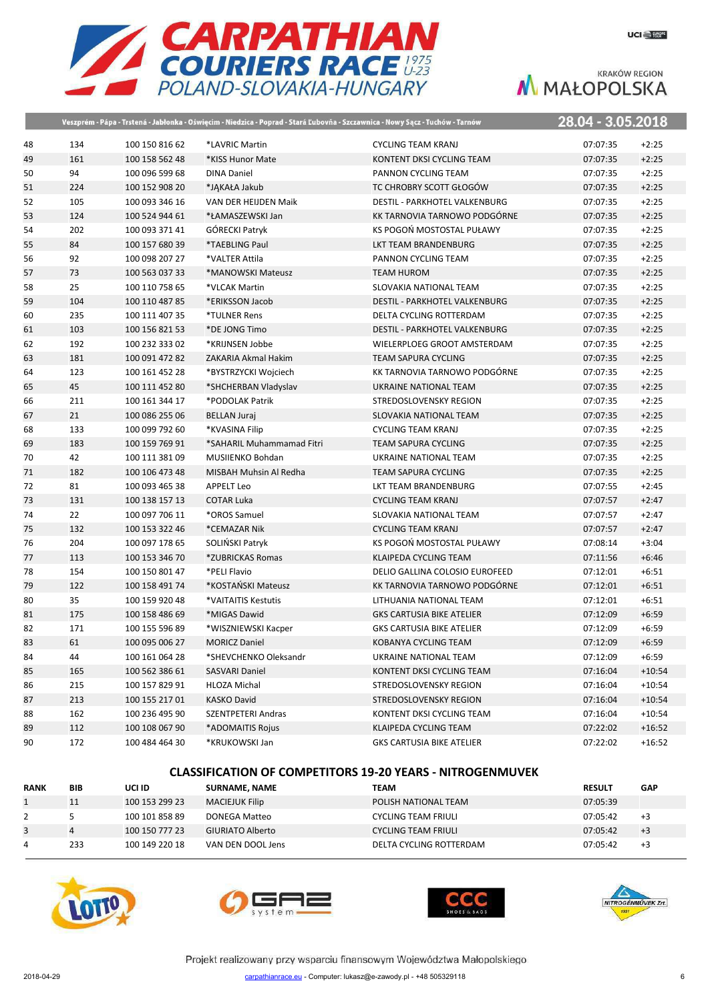

|    |     |                | Veszprém - Pápa - Trstená - Jabłonka - Oświęcim - Niedzica - Poprad - Stará Ľubovňa - Szczawnica - Nowy Sącz - Tuchów - Tarnów |                                      | 28.04 - 3.05.2018 |          |
|----|-----|----------------|--------------------------------------------------------------------------------------------------------------------------------|--------------------------------------|-------------------|----------|
| 48 | 134 | 100 150 816 62 | *LAVRIC Martin                                                                                                                 | <b>CYCLING TEAM KRANJ</b>            | 07:07:35          | $+2:25$  |
| 49 | 161 | 100 158 562 48 | *KISS Hunor Mate                                                                                                               | KONTENT DKSI CYCLING TEAM            | 07:07:35          | $+2:25$  |
| 50 | 94  | 100 096 599 68 | <b>DINA Daniel</b>                                                                                                             | PANNON CYCLING TEAM                  | 07:07:35          | $+2:25$  |
| 51 | 224 | 100 152 908 20 | *JAKAŁA Jakub                                                                                                                  | TC CHROBRY SCOTT GŁOGÓW              | 07:07:35          | $+2:25$  |
| 52 | 105 | 100 093 346 16 | VAN DER HEIJDEN Maik                                                                                                           | <b>DESTIL - PARKHOTEL VALKENBURG</b> | 07:07:35          | $+2:25$  |
| 53 | 124 | 100 524 944 61 | *ŁAMASZEWSKI Jan                                                                                                               | KK TARNOVIA TARNOWO PODGÓRNE         | 07:07:35          | $+2:25$  |
| 54 | 202 | 100 093 371 41 | GÓRECKI Patryk                                                                                                                 | KS POGOŃ MOSTOSTAL PUŁAWY            | 07:07:35          | $+2:25$  |
| 55 | 84  | 100 157 680 39 | *TAEBLING Paul                                                                                                                 | LKT TEAM BRANDENBURG                 | 07:07:35          | $+2:25$  |
| 56 | 92  | 100 098 207 27 | *VALTER Attila                                                                                                                 | PANNON CYCLING TEAM                  | 07:07:35          | $+2:25$  |
| 57 | 73  | 100 563 037 33 | *MANOWSKI Mateusz                                                                                                              | <b>TEAM HUROM</b>                    | 07:07:35          | $+2:25$  |
| 58 | 25  | 100 110 758 65 | *VLCAK Martin                                                                                                                  | SLOVAKIA NATIONAL TEAM               | 07:07:35          | $+2:25$  |
| 59 | 104 | 100 110 487 85 | *ERIKSSON Jacob                                                                                                                | DESTIL - PARKHOTEL VALKENBURG        | 07:07:35          | $+2:25$  |
| 60 | 235 | 100 111 407 35 | *TULNER Rens                                                                                                                   | DELTA CYCLING ROTTERDAM              | 07:07:35          | $+2:25$  |
| 61 | 103 | 100 156 821 53 | *DE JONG Timo                                                                                                                  | DESTIL - PARKHOTEL VALKENBURG        | 07:07:35          | $+2:25$  |
| 62 | 192 | 100 232 333 02 | *KRIJNSEN Jobbe                                                                                                                | WIELERPLOEG GROOT AMSTERDAM          | 07:07:35          | $+2:25$  |
| 63 | 181 | 100 091 472 82 | ZAKARIA Akmal Hakim                                                                                                            | TEAM SAPURA CYCLING                  | 07:07:35          | $+2:25$  |
| 64 | 123 | 100 161 452 28 | *BYSTRZYCKI Wojciech                                                                                                           | KK TARNOVIA TARNOWO PODGÓRNE         | 07:07:35          | $+2:25$  |
| 65 | 45  | 100 111 452 80 | *SHCHERBAN Vladyslav                                                                                                           | UKRAINE NATIONAL TEAM                | 07:07:35          | $+2:25$  |
| 66 | 211 | 100 161 344 17 | *PODOLAK Patrik                                                                                                                | STREDOSLOVENSKY REGION               | 07:07:35          | $+2:25$  |
| 67 | 21  | 100 086 255 06 | <b>BELLAN Juraj</b>                                                                                                            | SLOVAKIA NATIONAL TEAM               | 07:07:35          | $+2:25$  |
| 68 | 133 | 100 099 792 60 | *KVASINA Filip                                                                                                                 | <b>CYCLING TEAM KRANJ</b>            | 07:07:35          | $+2:25$  |
| 69 | 183 | 100 159 769 91 | *SAHARIL Muhammamad Fitri                                                                                                      | TEAM SAPURA CYCLING                  | 07:07:35          | $+2:25$  |
| 70 | 42  | 100 111 381 09 | MUSIIENKO Bohdan                                                                                                               | UKRAINE NATIONAL TEAM                | 07:07:35          | $+2:25$  |
| 71 | 182 | 100 106 473 48 | MISBAH Muhsin Al Redha                                                                                                         | <b>TEAM SAPURA CYCLING</b>           | 07:07:35          | $+2:25$  |
| 72 | 81  | 100 093 465 38 | APPELT Leo                                                                                                                     | LKT TEAM BRANDENBURG                 | 07:07:55          | $+2:45$  |
| 73 | 131 | 100 138 157 13 | <b>COTAR Luka</b>                                                                                                              | <b>CYCLING TEAM KRANJ</b>            | 07:07:57          | $+2:47$  |
| 74 | 22  | 100 097 706 11 | *OROS Samuel                                                                                                                   | SLOVAKIA NATIONAL TEAM               | 07:07:57          | $+2:47$  |
| 75 | 132 | 100 153 322 46 | *CEMAZAR Nik                                                                                                                   | <b>CYCLING TEAM KRANJ</b>            | 07:07:57          | $+2:47$  |
| 76 | 204 | 100 097 178 65 | SOLIŃSKI Patryk                                                                                                                | KS POGOŃ MOSTOSTAL PUŁAWY            | 07:08:14          | $+3:04$  |
| 77 | 113 | 100 153 346 70 | *ZUBRICKAS Romas                                                                                                               | KLAIPEDA CYCLING TEAM                | 07:11:56          | $+6:46$  |
| 78 | 154 | 100 150 801 47 | *PELI Flavio                                                                                                                   | DELIO GALLINA COLOSIO EUROFEED       | 07:12:01          | $+6:51$  |
| 79 | 122 | 100 158 491 74 | *KOSTAŃSKI Mateusz                                                                                                             | KK TARNOVIA TARNOWO PODGÓRNE         | 07:12:01          | $+6:51$  |
| 80 | 35  | 100 159 920 48 | *VAITAITIS Kestutis                                                                                                            | LITHUANIA NATIONAL TEAM              | 07:12:01          | $+6:51$  |
| 81 | 175 | 100 158 486 69 | *MIGAS Dawid                                                                                                                   | <b>GKS CARTUSIA BIKE ATELIER</b>     | 07:12:09          | $+6:59$  |
| 82 | 171 | 100 155 596 89 | *WISZNIEWSKI Kacper                                                                                                            | <b>GKS CARTUSIA BIKE ATELIER</b>     | 07:12:09          | $+6:59$  |
| 83 | 61  | 100 095 006 27 | <b>MORICZ Daniel</b>                                                                                                           | KOBANYA CYCLING TEAM                 | 07:12:09          | $+6:59$  |
| 84 | 44  | 100 161 064 28 | *SHEVCHENKO Oleksandr                                                                                                          | UKRAINE NATIONAL TEAM                | 07:12:09          | $+6:59$  |
| 85 | 165 | 100 562 386 61 | SASVARI Daniel                                                                                                                 | KONTENT DKSI CYCLING TEAM            | 07:16:04          | $+10:54$ |
| 86 | 215 | 100 157 829 91 | HLOZA Michal                                                                                                                   | STREDOSLOVENSKY REGION               | 07:16:04          | $+10:54$ |
| 87 | 213 | 100 155 217 01 | KASKO David                                                                                                                    | STREDOSLOVENSKY REGION               | 07:16:04          | $+10:54$ |
| 88 | 162 | 100 236 495 90 | SZENTPETERI Andras                                                                                                             | KONTENT DKSI CYCLING TEAM            | 07:16:04          | $+10:54$ |
| 89 | 112 | 100 108 067 90 | *ADOMAITIS Rojus                                                                                                               | KLAIPEDA CYCLING TEAM                | 07:22:02          | $+16:52$ |
| 90 | 172 | 100 484 464 30 | *KRUKOWSKI Jan                                                                                                                 | <b>GKS CARTUSIA BIKE ATELIER</b>     | 07:22:02          | $+16:52$ |

#### **CLASSIFICATION OF COMPETITORS 19-20 YEARS - NITROGENMUVEK**

| <b>RANK</b>  | <b>BIB</b> | UCI ID         | <b>SURNAME, NAME</b>    | <b>TEAM</b>                | <b>RESULT</b> | <b>GAP</b> |
|--------------|------------|----------------|-------------------------|----------------------------|---------------|------------|
| $\mathbf{1}$ | 11         | 100 153 299 23 | <b>MACIEJUK Filip</b>   | POLISH NATIONAL TEAM       | 07:05:39      |            |
|              |            | 100 101 858 89 | DONEGA Matteo           | <b>CYCLING TEAM FRIULI</b> | 07:05:42      | $+3$       |
|              |            | 100 150 777 23 | <b>GIURIATO Alberto</b> | <b>CYCLING TEAM FRIULI</b> | 07:05:42      | $+3$       |
| 4            | 233        | 100 149 220 18 | VAN DEN DOOL Jens       | DELTA CYCLING ROTTERDAM    | 07:05:42      | $+3$       |







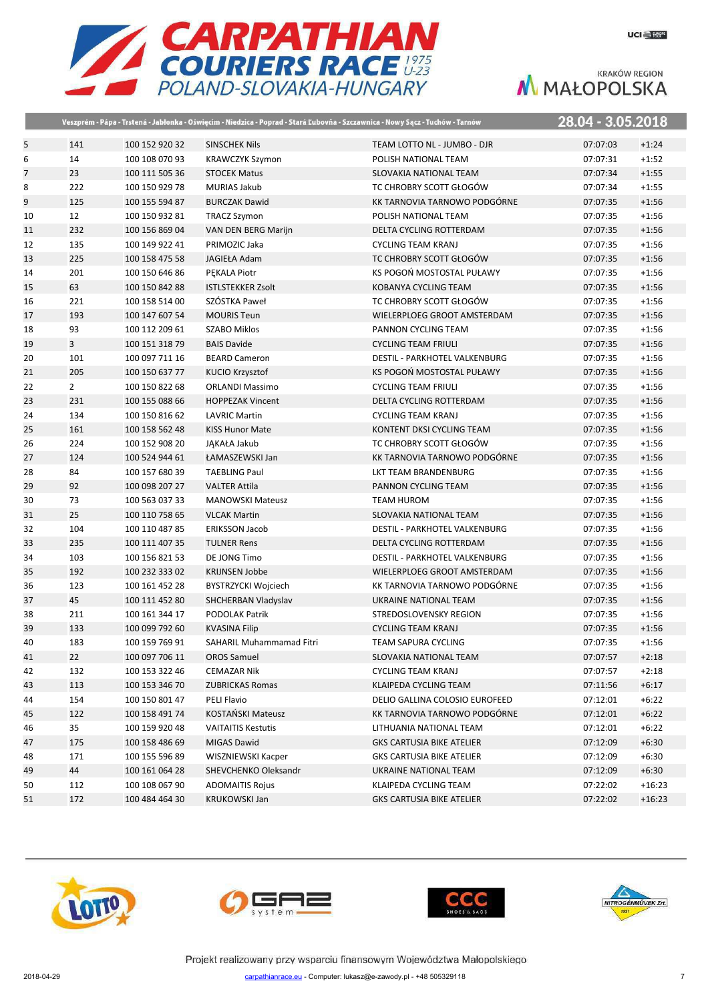

|                |                |                | Veszprém - Pápa - Trstená - Jabłonka - Oświęcim - Niedzica - Poprad - Stará Ľubovňa - Szczawnica - Nowy Sącz - Tuchów - Tarnów |                                      | 28.04 - 3.05.2018 |          |
|----------------|----------------|----------------|--------------------------------------------------------------------------------------------------------------------------------|--------------------------------------|-------------------|----------|
| 5              | 141            | 100 152 920 32 | <b>SINSCHEK Nils</b>                                                                                                           | TEAM LOTTO NL - JUMBO - DJR          | 07:07:03          | $+1:24$  |
| 6              | 14             | 100 108 070 93 | <b>KRAWCZYK Szymon</b>                                                                                                         | POLISH NATIONAL TEAM                 | 07:07:31          | $+1:52$  |
| $\overline{7}$ | 23             | 100 111 505 36 | <b>STOCEK Matus</b>                                                                                                            | SLOVAKIA NATIONAL TEAM               | 07:07:34          | $+1:55$  |
| 8              | 222            | 100 150 929 78 | <b>MURIAS Jakub</b>                                                                                                            | TC CHROBRY SCOTT GŁOGÓW              | 07:07:34          | $+1:55$  |
| 9              | 125            | 100 155 594 87 | <b>BURCZAK Dawid</b>                                                                                                           | KK TARNOVIA TARNOWO PODGÓRNE         | 07:07:35          | $+1:56$  |
| 10             | 12             | 100 150 932 81 | <b>TRACZ Szymon</b>                                                                                                            | POLISH NATIONAL TEAM                 | 07:07:35          | $+1:56$  |
| 11             | 232            | 100 156 869 04 | VAN DEN BERG Marijn                                                                                                            | DELTA CYCLING ROTTERDAM              | 07:07:35          | $+1:56$  |
| 12             | 135            | 100 149 922 41 | PRIMOZIC Jaka                                                                                                                  | <b>CYCLING TEAM KRANJ</b>            | 07:07:35          | $+1:56$  |
| 13             | 225            | 100 158 475 58 | JAGIEŁA Adam                                                                                                                   | TC CHROBRY SCOTT GŁOGÓW              | 07:07:35          | $+1:56$  |
| 14             | 201            | 100 150 646 86 | PEKALA Piotr                                                                                                                   | KS POGOŃ MOSTOSTAL PUŁAWY            | 07:07:35          | $+1:56$  |
| 15             | 63             | 100 150 842 88 | <b>ISTLSTEKKER Zsolt</b>                                                                                                       | KOBANYA CYCLING TEAM                 | 07:07:35          | $+1:56$  |
| 16             | 221            | 100 158 514 00 | SZÓSTKA Paweł                                                                                                                  | TC CHROBRY SCOTT GŁOGÓW              | 07:07:35          | $+1:56$  |
| 17             | 193            | 100 147 607 54 | <b>MOURIS Teun</b>                                                                                                             | WIELERPLOEG GROOT AMSTERDAM          | 07:07:35          | $+1:56$  |
| 18             | 93             | 100 112 209 61 | <b>SZABO Miklos</b>                                                                                                            | PANNON CYCLING TEAM                  | 07:07:35          | $+1:56$  |
| 19             | $\overline{3}$ | 100 151 318 79 | <b>BAIS Davide</b>                                                                                                             | <b>CYCLING TEAM FRIULI</b>           | 07:07:35          | $+1:56$  |
| 20             | 101            | 100 097 711 16 | <b>BEARD Cameron</b>                                                                                                           | <b>DESTIL - PARKHOTEL VALKENBURG</b> | 07:07:35          | $+1:56$  |
| 21             | 205            | 100 150 637 77 | <b>KUCIO Krzysztof</b>                                                                                                         | KS POGOŃ MOSTOSTAL PUŁAWY            | 07:07:35          | $+1:56$  |
| 22             | $\overline{2}$ | 100 150 822 68 | <b>ORLANDI Massimo</b>                                                                                                         | <b>CYCLING TEAM FRIULI</b>           | 07:07:35          | $+1:56$  |
| 23             | 231            | 100 155 088 66 | <b>HOPPEZAK Vincent</b>                                                                                                        | DELTA CYCLING ROTTERDAM              | 07:07:35          | $+1:56$  |
| 24             | 134            | 100 150 816 62 | <b>LAVRIC Martin</b>                                                                                                           | <b>CYCLING TEAM KRANJ</b>            | 07:07:35          | $+1:56$  |
| 25             | 161            | 100 158 562 48 | <b>KISS Hunor Mate</b>                                                                                                         | KONTENT DKSI CYCLING TEAM            | 07:07:35          | $+1:56$  |
| 26             | 224            | 100 152 908 20 | JĄKAŁA Jakub                                                                                                                   | TC CHROBRY SCOTT GŁOGÓW              | 07:07:35          | $+1:56$  |
| 27             | 124            | 100 524 944 61 | ŁAMASZEWSKI Jan                                                                                                                | KK TARNOVIA TARNOWO PODGÓRNE         | 07:07:35          | $+1:56$  |
| 28             | 84             | 100 157 680 39 | <b>TAEBLING Paul</b>                                                                                                           | LKT TEAM BRANDENBURG                 | 07:07:35          | $+1:56$  |
| 29             | 92             | 100 098 207 27 | <b>VALTER Attila</b>                                                                                                           | PANNON CYCLING TEAM                  | 07:07:35          | $+1:56$  |
| 30             | 73             | 100 563 037 33 | <b>MANOWSKI Mateusz</b>                                                                                                        | <b>TEAM HUROM</b>                    | 07:07:35          | $+1:56$  |
| 31             | 25             | 100 110 758 65 | <b>VLCAK Martin</b>                                                                                                            | SLOVAKIA NATIONAL TEAM               | 07:07:35          | $+1:56$  |
| 32             | 104            | 100 110 487 85 | <b>ERIKSSON Jacob</b>                                                                                                          | DESTIL - PARKHOTEL VALKENBURG        | 07:07:35          | $+1:56$  |
| 33             | 235            | 100 111 407 35 | <b>TULNER Rens</b>                                                                                                             | DELTA CYCLING ROTTERDAM              | 07:07:35          | $+1:56$  |
| 34             | 103            | 100 156 821 53 | DE JONG Timo                                                                                                                   | DESTIL - PARKHOTEL VALKENBURG        | 07:07:35          | $+1:56$  |
| 35             | 192            | 100 232 333 02 | <b>KRIJNSEN Jobbe</b>                                                                                                          | WIELERPLOEG GROOT AMSTERDAM          | 07:07:35          | $+1:56$  |
| 36             | 123            | 100 161 452 28 | <b>BYSTRZYCKI Wojciech</b>                                                                                                     | KK TARNOVIA TARNOWO PODGÓRNE         | 07:07:35          | $+1:56$  |
| 37             | 45             | 100 111 452 80 | SHCHERBAN Vladyslav                                                                                                            | UKRAINE NATIONAL TEAM                | 07:07:35          | $+1:56$  |
| 38             | 211            | 100 161 344 17 | PODOLAK Patrik                                                                                                                 | STREDOSLOVENSKY REGION               | 07:07:35          | $+1:56$  |
| 39             | 133            | 100 099 792 60 | <b>KVASINA Filip</b>                                                                                                           | <b>CYCLING TEAM KRANJ</b>            | 07:07:35          | $+1:56$  |
| 40             | 183            | 100 159 769 91 | SAHARIL Muhammamad Fitri                                                                                                       | <b>TEAM SAPURA CYCLING</b>           | 07:07:35          | $+1:56$  |
| 41             | 22             | 100 097 706 11 | <b>OROS Samuel</b>                                                                                                             | SLOVAKIA NATIONAL TEAM               | 07:07:57          | $+2:18$  |
| 42             | 132            | 100 153 322 46 | <b>CEMAZAR Nik</b>                                                                                                             | <b>CYCLING TEAM KRANJ</b>            | 07:07:57          | $+2:18$  |
| 43             | 113            | 100 153 346 70 | <b>ZUBRICKAS Romas</b>                                                                                                         | KLAIPEDA CYCLING TEAM                | 07:11:56          | $+6:17$  |
| 44             | 154            | 100 150 801 47 | PELI Flavio                                                                                                                    | DELIO GALLINA COLOSIO EUROFEED       | 07:12:01          | $+6:22$  |
| 45             | 122            | 100 158 491 74 | KOSTAŃSKI Mateusz                                                                                                              | KK TARNOVIA TARNOWO PODGÓRNE         | 07:12:01          | $+6:22$  |
| 46             | 35             | 100 159 920 48 | <b>VAITAITIS Kestutis</b>                                                                                                      | LITHUANIA NATIONAL TEAM              | 07:12:01          | $+6:22$  |
| 47             | 175            | 100 158 486 69 | MIGAS Dawid                                                                                                                    | <b>GKS CARTUSIA BIKE ATELIER</b>     | 07:12:09          | $+6:30$  |
| 48             | 171            | 100 155 596 89 | WISZNIEWSKI Kacper                                                                                                             | <b>GKS CARTUSIA BIKE ATELIER</b>     | 07:12:09          | $+6:30$  |
| 49             | 44             | 100 161 064 28 | SHEVCHENKO Oleksandr                                                                                                           | UKRAINE NATIONAL TEAM                | 07:12:09          | $+6:30$  |
| 50             | 112            | 100 108 067 90 | <b>ADOMAITIS Rojus</b>                                                                                                         | KLAIPEDA CYCLING TEAM                | 07:22:02          | $+16:23$ |
| 51             | 172            | 100 484 464 30 | <b>KRUKOWSKI Jan</b>                                                                                                           | <b>GKS CARTUSIA BIKE ATELIER</b>     | 07:22:02          | $+16:23$ |







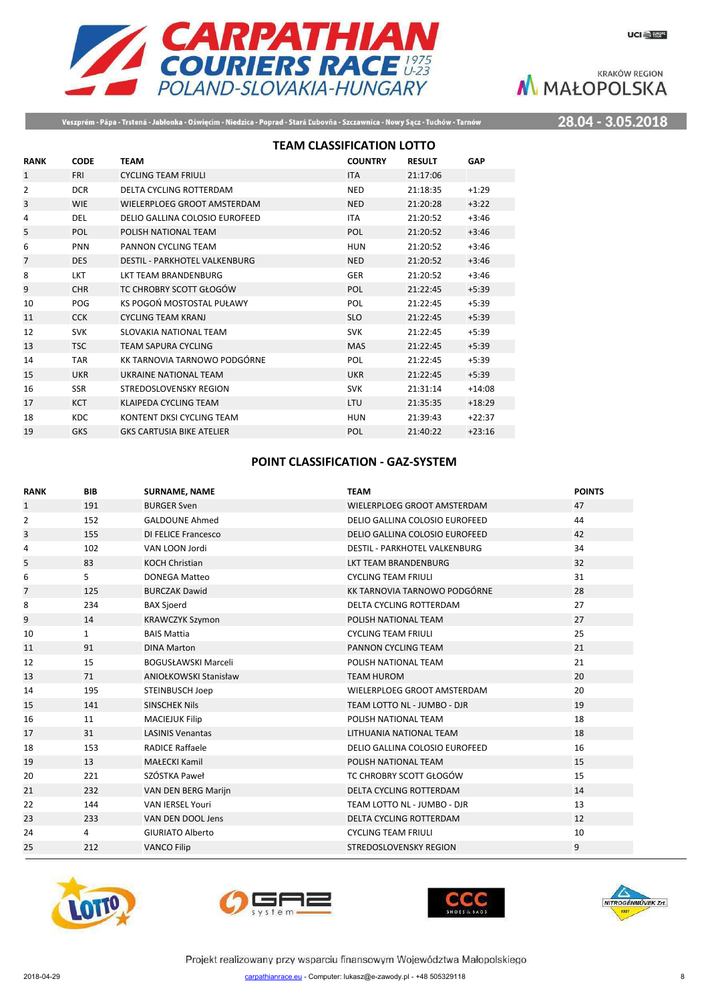

Veszprém - Pápa - Trstená - Jabłonka - Oświęcim - Niedzica - Poprad - Stará Ľubovňa - Szczawnica - Nowy Sącz - Tuchów - Tarnów

28.04 - 3.05.2018

|                |             | <b>TEAM CLASSIFICATION LOTTO</b> |                |               |            |
|----------------|-------------|----------------------------------|----------------|---------------|------------|
| <b>RANK</b>    | <b>CODE</b> | <b>TEAM</b>                      | <b>COUNTRY</b> | <b>RESULT</b> | <b>GAP</b> |
| $\mathbf{1}$   | <b>FRI</b>  | <b>CYCLING TEAM FRIULI</b>       | <b>ITA</b>     | 21:17:06      |            |
| 2              | <b>DCR</b>  | DELTA CYCLING ROTTERDAM          | <b>NED</b>     | 21:18:35      | $+1:29$    |
| 3              | <b>WIE</b>  | WIELERPLOEG GROOT AMSTERDAM      | <b>NED</b>     | 21:20:28      | $+3:22$    |
| 4              | DEL         | DELIO GALLINA COLOSIO EUROFEED   | <b>ITA</b>     | 21:20:52      | $+3:46$    |
| 5              | POL         | POLISH NATIONAL TEAM             | POL            | 21:20:52      | $+3:46$    |
| 6              | <b>PNN</b>  | PANNON CYCLING TEAM              | <b>HUN</b>     | 21:20:52      | $+3:46$    |
| $\overline{7}$ | <b>DES</b>  | DESTIL - PARKHOTEL VALKENBURG    | <b>NED</b>     | 21:20:52      | $+3:46$    |
| 8              | <b>LKT</b>  | <b>IKT TEAM BRANDENBURG</b>      | <b>GER</b>     | 21:20:52      | $+3:46$    |
| 9              | <b>CHR</b>  | TC CHROBRY SCOTT GŁOGÓW          | <b>POL</b>     | 21:22:45      | $+5:39$    |
| 10             | POG         | KS POGOŃ MOSTOSTAL PUŁAWY        | POL            | 21:22:45      | $+5:39$    |
| 11             | <b>CCK</b>  | <b>CYCLING TEAM KRANJ</b>        | <b>SLO</b>     | 21:22:45      | $+5:39$    |
| 12             | <b>SVK</b>  | SLOVAKIA NATIONAL TEAM           | <b>SVK</b>     | 21:22:45      | $+5:39$    |
| 13             | <b>TSC</b>  | <b>TEAM SAPURA CYCLING</b>       | <b>MAS</b>     | 21:22:45      | $+5:39$    |
| 14             | <b>TAR</b>  | KK TARNOVIA TARNOWO PODGÓRNE     | <b>POL</b>     | 21:22:45      | $+5:39$    |
| 15             | <b>UKR</b>  | UKRAINE NATIONAL TEAM            | <b>UKR</b>     | 21:22:45      | $+5:39$    |
| 16             | <b>SSR</b>  | STREDOSLOVENSKY REGION           | <b>SVK</b>     | 21:31:14      | $+14:08$   |
| 17             | <b>KCT</b>  | <b>KLAIPEDA CYCLING TEAM</b>     | LTU            | 21:35:35      | $+18:29$   |
| 18             | <b>KDC</b>  | KONTENT DKSI CYCLING TEAM        | <b>HUN</b>     | 21:39:43      | $+22:37$   |
| 19             | <b>GKS</b>  | <b>GKS CARTUSIA BIKE ATELIER</b> | POL            | 21:40:22      | $+23:16$   |

### **POINT CLASSIFICATION - GAZ-SYSTEM**

| <b>RANK</b>    | <b>BIB</b> | <b>SURNAME, NAME</b>         | <b>TEAM</b>                    | <b>POINTS</b> |
|----------------|------------|------------------------------|--------------------------------|---------------|
| $\mathbf{1}$   | 191        | <b>BURGER Sven</b>           | WIELERPLOEG GROOT AMSTERDAM    | 47            |
| 2              | 152        | <b>GALDOUNE Ahmed</b>        | DELIO GALLINA COLOSIO EUROFEED | 44            |
| 3              | 155        | <b>DI FELICE Francesco</b>   | DELIO GALLINA COLOSIO EUROFEED | 42            |
| 4              | 102        | VAN LOON Jordi               | DESTIL - PARKHOTEL VALKENBURG  | 34            |
| 5              | 83         | <b>KOCH Christian</b>        | LKT TEAM BRANDENBURG           | 32            |
| 6              | 5          | <b>DONEGA Matteo</b>         | <b>CYCLING TEAM FRIULI</b>     | 31            |
| $\overline{7}$ | 125        | <b>BURCZAK Dawid</b>         | KK TARNOVIA TARNOWO PODGÓRNE   | 28            |
| 8              | 234        | <b>BAX Sjoerd</b>            | DELTA CYCLING ROTTERDAM        | 27            |
| 9              | 14         | <b>KRAWCZYK Szymon</b>       | POLISH NATIONAL TEAM           | 27            |
| 10             | 1          | <b>BAIS Mattia</b>           | <b>CYCLING TEAM FRIULI</b>     | 25            |
| 11             | 91         | <b>DINA Marton</b>           | PANNON CYCLING TEAM            | 21            |
| 12             | 15         | <b>BOGUSŁAWSKI Marceli</b>   | POLISH NATIONAL TEAM           | 21            |
| 13             | 71         | <b>ANIOŁKOWSKI Stanisław</b> | <b>TEAM HUROM</b>              | 20            |
| 14             | 195        | STEINBUSCH Joep              | WIELERPLOEG GROOT AMSTERDAM    | 20            |
| 15             | 141        | <b>SINSCHEK Nils</b>         | TEAM LOTTO NL - JUMBO - DJR    | 19            |
| 16             | 11         | <b>MACIEJUK Filip</b>        | POLISH NATIONAL TEAM           | 18            |
| 17             | 31         | <b>LASINIS Venantas</b>      | LITHUANIA NATIONAL TEAM        | 18            |
| 18             | 153        | <b>RADICE Raffaele</b>       | DELIO GALLINA COLOSIO EUROFEED | 16            |
| 19             | 13         | <b>MAŁECKI Kamil</b>         | POLISH NATIONAL TEAM           | 15            |
| 20             | 221        | SZÓSTKA Paweł                | TC CHROBRY SCOTT GŁOGÓW        | 15            |
| 21             | 232        | VAN DEN BERG Marijn          | DELTA CYCLING ROTTERDAM        | 14            |
| 22             | 144        | <b>VAN IERSEL Youri</b>      | TEAM LOTTO NL - JUMBO - DJR    | 13            |
| 23             | 233        | VAN DEN DOOL Jens            | DELTA CYCLING ROTTERDAM        | 12            |
| 24             | 4          | <b>GIURIATO Alberto</b>      | <b>CYCLING TEAM FRIULI</b>     | 10            |
| 25             | 212        | <b>VANCO Filip</b>           | <b>STREDOSLOVENSKY REGION</b>  | 9             |
|                |            |                              |                                |               |







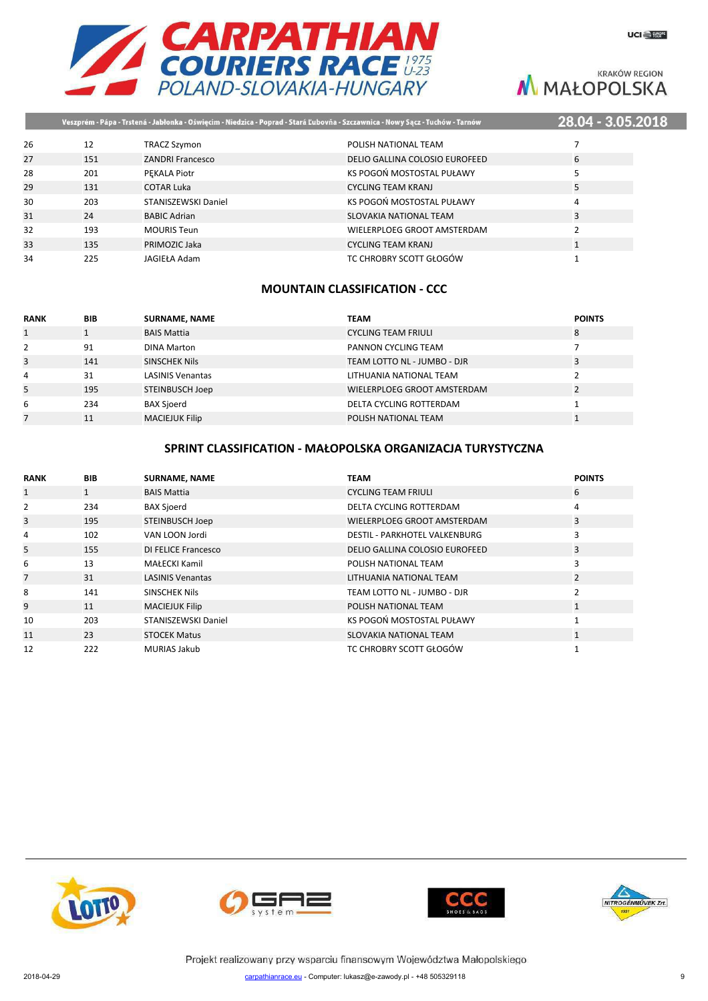

|    |     |                         | Veszprém - Pápa - Trstená - Jabłonka - Oświęcim - Niedzica - Poprad - Stará Ľubovňa - Szczawnica - Nowy Sącz - Tuchów - Tarnów | 28.04 - 3.05.201 |  |
|----|-----|-------------------------|--------------------------------------------------------------------------------------------------------------------------------|------------------|--|
| 26 | 12  | TRACZ Szymon            | POLISH NATIONAL TEAM                                                                                                           |                  |  |
| 27 | 151 | <b>ZANDRI Francesco</b> | DELIO GALLINA COLOSIO EUROFEED                                                                                                 | 6                |  |
| 28 | 201 | PEKALA Piotr            | KS POGOŃ MOSTOSTAL PUŁAWY                                                                                                      |                  |  |
| 29 | 131 | <b>COTAR Luka</b>       | <b>CYCLING TEAM KRANJ</b>                                                                                                      | 5                |  |
| 30 | 203 | STANISZEWSKI Daniel     | KS POGOŃ MOSTOSTAL PUŁAWY                                                                                                      | 4                |  |
| 31 | 24  | <b>BABIC Adrian</b>     | SLOVAKIA NATIONAL TEAM                                                                                                         | 3                |  |
| 32 | 193 | <b>MOURIS Teun</b>      | WIELERPLOEG GROOT AMSTERDAM                                                                                                    |                  |  |
| 33 | 135 | PRIMOZIC Jaka           | <b>CYCLING TEAM KRANJ</b>                                                                                                      |                  |  |
| 34 | 225 | JAGIEŁA Adam            | TC CHROBRY SCOTT GŁOGÓW                                                                                                        |                  |  |
|    |     |                         |                                                                                                                                |                  |  |

### **MOUNTAIN CLASSIFICATION - CCC**

| <b>RANK</b>  | <b>BIB</b> | <b>SURNAME, NAME</b>    | <b>TEAM</b>                 | <b>POINTS</b> |
|--------------|------------|-------------------------|-----------------------------|---------------|
| $\mathbf{1}$ |            | <b>BAIS Mattia</b>      | <b>CYCLING TEAM FRIULI</b>  | 8             |
| 2            | 91         | <b>DINA Marton</b>      | PANNON CYCLING TEAM         |               |
| 3            | 141        | <b>SINSCHEK Nils</b>    | TEAM LOTTO NL - JUMBO - DJR | 3             |
| 4            | 31         | <b>LASINIS Venantas</b> | LITHUANIA NATIONAL TEAM     |               |
| 5            | 195        | STEINBUSCH Joep         | WIELERPLOEG GROOT AMSTERDAM |               |
| 6            | 234        | <b>BAX Sjoerd</b>       | DELTA CYCLING ROTTERDAM     |               |
|              | 11         | <b>MACIEJUK Filip</b>   | POLISH NATIONAL TEAM        |               |

### **SPRINT CLASSIFICATION - MAŁOPOLSKA ORGANIZACJA TURYSTYCZNA**

| <b>RANK</b>    | <b>BIB</b>   | <b>SURNAME, NAME</b>    | <b>TEAM</b>                          | <b>POINTS</b>  |
|----------------|--------------|-------------------------|--------------------------------------|----------------|
| $\mathbf{1}$   | $\mathbf{1}$ | <b>BAIS Mattia</b>      | <b>CYCLING TEAM FRIULI</b>           | 6              |
| 2              | 234          | <b>BAX Sjoerd</b>       | DELTA CYCLING ROTTERDAM              | 4              |
| 3              | 195          | <b>STEINBUSCH Joep</b>  | WIELERPLOEG GROOT AMSTERDAM          | 3              |
| 4              | 102          | VAN LOON Jordi          | <b>DESTIL - PARKHOTEL VALKENBURG</b> | 3              |
| 5              | 155          | DI FELICE Francesco     | DELIO GALLINA COLOSIO EUROFEED       | 3              |
| 6              | 13           | MAŁECKI Kamil           | POLISH NATIONAL TEAM                 | 3              |
| $\overline{7}$ | 31           | <b>LASINIS Venantas</b> | LITHUANIA NATIONAL TEAM              | $\overline{2}$ |
| 8              | 141          | SINSCHEK Nils           | TEAM LOTTO NL - JUMBO - DJR          | 2              |
| 9              | 11           | <b>MACIEJUK Filip</b>   | POLISH NATIONAL TEAM                 | $\mathbf{1}$   |
| 10             | 203          | STANISZEWSKI Daniel     | KS POGOŃ MOSTOSTAL PUŁAWY            |                |
| 11             | 23           | <b>STOCEK Matus</b>     | <b>SLOVAKIA NATIONAL TEAM</b>        | $\mathbf{1}$   |
| 12             | 222          | <b>MURIAS Jakub</b>     | TC CHROBRY SCOTT GŁOGÓW              |                |







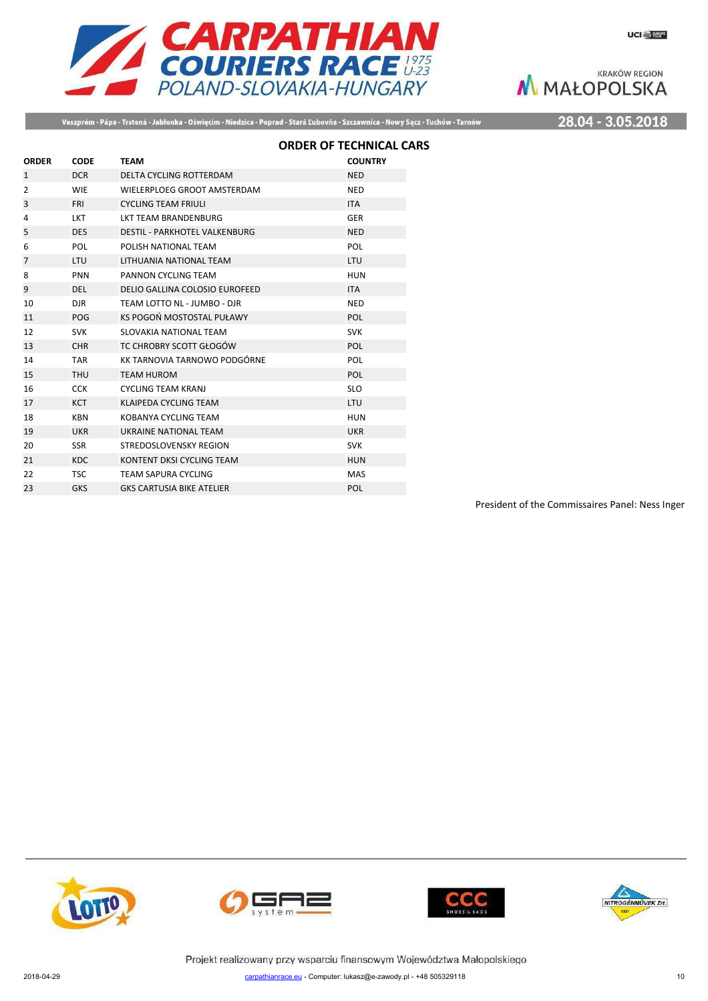

Veszprém - Pápa - Trstená - Jabłonka - Oświęcim - Niedzica - Poprad - Stará Ľubovňa - Szczawnica - Nowy Sącz - Tuchów - Tarnów

28.04 - 3.05.2018

|                |             |                                      | <b>ORDER OF TECHNICAL CARS</b> |
|----------------|-------------|--------------------------------------|--------------------------------|
| <b>ORDER</b>   | <b>CODE</b> | <b>TEAM</b>                          | <b>COUNTRY</b>                 |
| $\mathbf{1}$   | <b>DCR</b>  | <b>DELTA CYCLING ROTTERDAM</b>       | <b>NED</b>                     |
| $\overline{2}$ | <b>WIE</b>  | WIELERPLOEG GROOT AMSTERDAM          | <b>NED</b>                     |
| 3              | <b>FRI</b>  | <b>CYCLING TEAM FRIULI</b>           | <b>ITA</b>                     |
| 4              | <b>LKT</b>  | <b>LKT TEAM BRANDENBURG</b>          | <b>GER</b>                     |
| 5              | <b>DES</b>  | <b>DESTIL - PARKHOTEL VALKENBURG</b> | <b>NED</b>                     |
| 6              | <b>POL</b>  | POLISH NATIONAL TEAM                 | <b>POL</b>                     |
| $\overline{7}$ | <b>LTU</b>  | LITHUANIA NATIONAL TEAM              | <b>LTU</b>                     |
| 8              | <b>PNN</b>  | PANNON CYCLING TEAM                  | <b>HUN</b>                     |
| 9              | <b>DEL</b>  | DELIO GALLINA COLOSIO EUROFEED       | <b>ITA</b>                     |
| 10             | DJR.        | TEAM LOTTO NL - JUMBO - DJR          | <b>NED</b>                     |
| 11             | POG         | KS POGOŃ MOSTOSTAL PUŁAWY            | <b>POL</b>                     |
| 12             | <b>SVK</b>  | SLOVAKIA NATIONAL TEAM               | <b>SVK</b>                     |
| 13             | <b>CHR</b>  | TC CHROBRY SCOTT GŁOGÓW              | POL                            |
| 14             | <b>TAR</b>  | KK TARNOVIA TARNOWO PODGÓRNE         | POL                            |
| 15             | <b>THU</b>  | <b>TEAM HUROM</b>                    | <b>POL</b>                     |
| 16             | <b>CCK</b>  | <b>CYCLING TEAM KRANJ</b>            | <b>SLO</b>                     |
| 17             | <b>KCT</b>  | <b>KLAIPEDA CYCLING TEAM</b>         | <b>LTU</b>                     |
| 18             | <b>KBN</b>  | KOBANYA CYCLING TEAM                 | <b>HUN</b>                     |
| 19             | <b>UKR</b>  | UKRAINE NATIONAL TEAM                | <b>UKR</b>                     |
| 20             | <b>SSR</b>  | STREDOSLOVENSKY REGION               | <b>SVK</b>                     |
| 21             | <b>KDC</b>  | KONTENT DKSI CYCLING TEAM            | <b>HUN</b>                     |
| 22             | <b>TSC</b>  | <b>TEAM SAPURA CYCLING</b>           | <b>MAS</b>                     |
| 23             | <b>GKS</b>  | <b>GKS CARTUSIA BIKE ATELIER</b>     | POL                            |
|                |             |                                      |                                |

President of the Commissaires Panel: Ness Inger







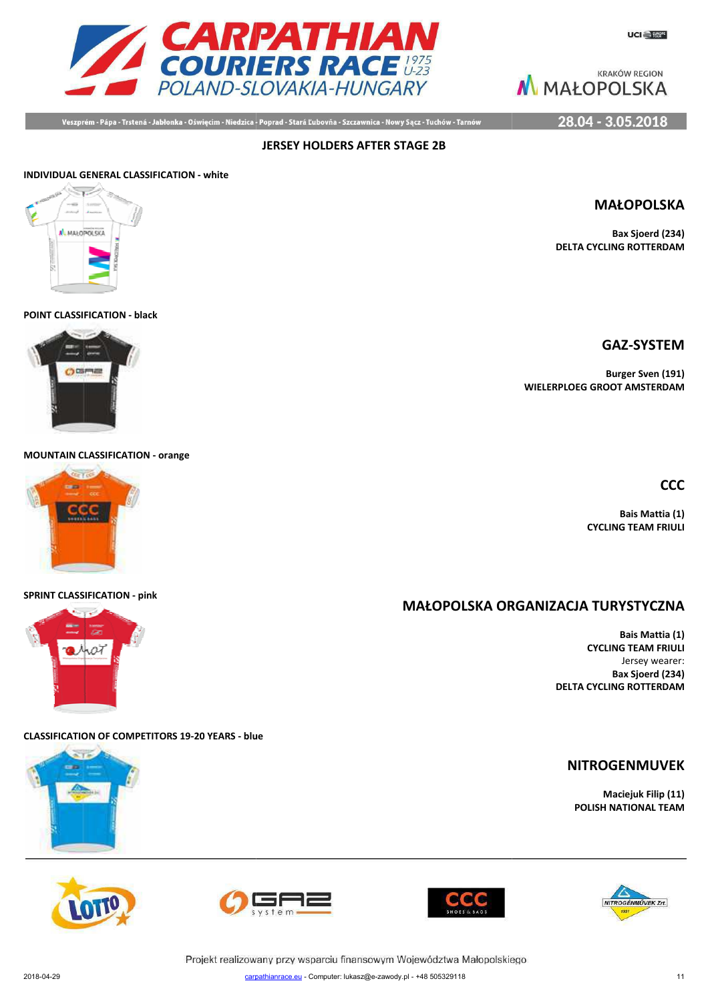

Veszprém - Pápa - Trstená - Jabłonka - Oświęcim - Niedzica - Poprad - Stará Ľubovňa - Szczawnica - Nowy Sącz - Tuchów - Tarnów

28.04 - 3.05.2018

### **INDIVIDUAL GENERAL CLASSIFICATION - white**



**POINT CLASSIFICATION - black**



**MOUNTAIN CLASSIFICATION - orange**



#### **SPRINT CLASSIFICATION - pink**



**CLASSIFICATION OF COMPETITORS 19-20 YEARS - blue**











Projekt realizowany przy wsparciu finansowym Województwa Małopolskiego



**Bax Sjoerd (234) DELTA CYCLING ROTTERDAM**

### **GAZ-SYSTEM**

**Burger Sven (191) WIELERPLOEG GROOT AMSTERDAM**

**CCC**

**Bais Mattia (1) CYCLING TEAM FRIULI**

### **MAŁOPOLSKA ORG ORGANIZACJA TURYSTYCZNA**

**Bais Mattia (1) CYCLING TEAM FRIULI** Jersey wearer: **Bax Sjoerd (234) DELTA CYCLING ROTTERDAM**

### **NITROGENMUVEK**

**Maciejuk Filip (11) POLISH NATIONAL TEAM**



11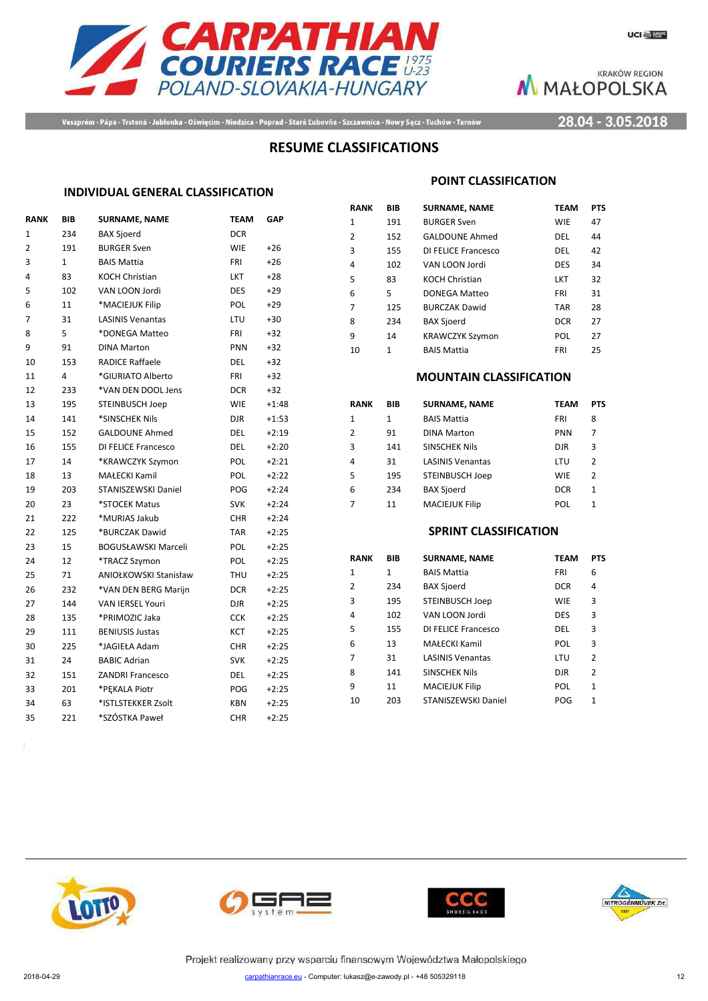



Veszprém - Pápa - Trstená - Jabłonka - Oświęcim - Niedzica - Poprad - Stará Ľubovňa - Szczawnica - Nowy Sącz - Tuchów - Tarnów

28.04 - 3.05.2018

### **RESUME CLASSIFICATIONS**

### **INDIVIDUAL GENERAL CLASSIFICATION**

| <b>RANK</b>    | BIB         | <b>SURNAME, NAME</b>       | <b>TEAM</b> | GAP     |
|----------------|-------------|----------------------------|-------------|---------|
| $\mathbf{1}$   | 234         | <b>BAX Sjoerd</b>          | <b>DCR</b>  |         |
| $\overline{2}$ | 191         | <b>BURGER Sven</b>         | <b>WIE</b>  | $+26$   |
| 3              | $\mathbf 1$ | <b>BAIS Mattia</b>         | FRI         | $+26$   |
| 4              | 83          | <b>KOCH Christian</b>      | <b>LKT</b>  | $+28$   |
| 5              | 102         | VAN LOON Jordi             | <b>DES</b>  | $+29$   |
| 6              | 11          | *MACIEJUK Filip            | <b>POL</b>  | $+29$   |
| 7              | 31          | <b>LASINIS Venantas</b>    | LTU         | $+30$   |
| 8              | 5           | *DONEGA Matteo             | <b>FRI</b>  | $+32$   |
| 9              | 91          | <b>DINA Marton</b>         | <b>PNN</b>  | $+32$   |
| 10             | 153         | <b>RADICE Raffaele</b>     | DEL         | $+32$   |
| 11             | 4           | *GIURIATO Alberto          | FRI         | $+32$   |
| 12             | 233         | *VAN DEN DOOL Jens         | <b>DCR</b>  | $+32$   |
| 13             | 195         | STEINBUSCH Joep            | <b>WIE</b>  | $+1:48$ |
| 14             | 141         | *SINSCHEK Nils             | djr         | $+1:53$ |
| 15             | 152         | <b>GALDOUNE Ahmed</b>      | DEL         | $+2:19$ |
| 16             | 155         | DI FELICE Francesco        | DEL         | $+2:20$ |
| 17             | 14          | *KRAWCZYK Szymon           | POL         | $+2:21$ |
| 18             | 13          | <b>MAŁECKI Kamil</b>       | POL         | $+2:22$ |
| 19             | 203         | STANISZEWSKI Daniel        | POG         | $+2:24$ |
| 20             | 23          | *STOCEK Matus              | <b>SVK</b>  | $+2:24$ |
| 21             | 222         | *MURIAS Jakub              | <b>CHR</b>  | $+2:24$ |
| 22             | 125         | *BURCZAK Dawid             | <b>TAR</b>  | $+2:25$ |
| 23             | 15          | <b>BOGUSŁAWSKI Marceli</b> | POL         | $+2:25$ |
| 24             | 12          | *TRACZ Szymon              | POL         | $+2:25$ |
| 25             | 71          | ANIOŁKOWSKI Stanisław      | THU         | $+2:25$ |
| 26             | 232         | *VAN DEN BERG Marijn       | <b>DCR</b>  | $+2:25$ |
| 27             | 144         | <b>VAN IERSEL Youri</b>    | djr         | $+2:25$ |
| 28             | 135         | *PRIMOZIC Jaka             | <b>CCK</b>  | $+2:25$ |
| 29             | 111         | <b>BENIUSIS Justas</b>     | KCT         | $+2:25$ |
| 30             | 225         | *JAGIEŁA Adam              | <b>CHR</b>  | $+2:25$ |
| 31             | 24          | <b>BABIC Adrian</b>        | <b>SVK</b>  | $+2:25$ |
| 32             | 151         | <b>ZANDRI Francesco</b>    | <b>DEL</b>  | $+2:25$ |
| 33             | 201         | *PEKALA Piotr              | POG         | $+2:25$ |
| 34             | 63          | *ISTLSTEKKER Zsolt         | <b>KBN</b>  | $+2:25$ |
| 35             | 221         | *SZÓSTKA Paweł             | <b>CHR</b>  | $+2:25$ |
|                |             |                            |             |         |

#### **POINT CLASSIFICATION**

| RANK | BIB | <b>SURNAME, NAME</b>   | <b>TEAM</b> | <b>PTS</b> |
|------|-----|------------------------|-------------|------------|
| 1    | 191 | <b>BURGER Sven</b>     | <b>WIE</b>  | 47         |
| 2    | 152 | <b>GALDOUNE Ahmed</b>  | DEL         | 44         |
| 3    | 155 | DI FELICE Francesco    | DEL         | 42         |
| 4    | 102 | VAN LOON Jordi         | <b>DES</b>  | 34         |
| 5    | 83  | <b>KOCH Christian</b>  | LKT         | 32         |
| 6    | 5   | DONEGA Matteo          | FRI         | 31         |
| 7    | 125 | <b>BURCZAK Dawid</b>   | <b>TAR</b>  | 28         |
| 8    | 234 | <b>BAX Sjoerd</b>      | <b>DCR</b>  | 27         |
| 9    | 14  | <b>KRAWCZYK Szymon</b> | POL         | 27         |
| 10   | 1   | <b>BAIS Mattia</b>     | FRI         | 25         |

#### **MOUNTAIN CLASSIFICATION**

| RANK | BIB | <b>SURNAME, NAME</b>    | <b>TEAM</b> | <b>PTS</b> |
|------|-----|-------------------------|-------------|------------|
| 1    | 1   | <b>BAIS Mattia</b>      | <b>FRI</b>  | 8          |
| 2    | 91  | <b>DINA Marton</b>      | <b>PNN</b>  | 7          |
| 3    | 141 | SINSCHEK Nils           | <b>DJR</b>  | 3          |
| 4    | 31  | <b>LASINIS Venantas</b> | LTU         | 2          |
| 5    | 195 | STEINBUSCH Joep         | <b>WIE</b>  | 2          |
| 6    | 234 | <b>BAX Sjoerd</b>       | <b>DCR</b>  | 1          |
| 7    | 11  | <b>MACIEJUK Filip</b>   | POL         | 1          |

#### **SPRINT CLASSIFICATION**

| RANK | BIB          | <b>SURNAME, NAME</b>    | <b>TEAM</b> | <b>PTS</b>     |
|------|--------------|-------------------------|-------------|----------------|
| 1    | $\mathbf{1}$ | <b>BAIS Mattia</b>      | FRI         | 6              |
| 2    | 234          | <b>BAX Sjoerd</b>       | <b>DCR</b>  | 4              |
| 3    | 195          | <b>STEINBUSCH Joep</b>  | <b>WIE</b>  | 3              |
| 4    | 102          | VAN LOON Jordi          | <b>DES</b>  | 3              |
| 5    | 155          | DI FELICE Francesco     | DEL         | 3              |
| 6    | 13           | MAŁECKI Kamil           | POL         | 3              |
| 7    | 31           | <b>LASINIS Venantas</b> | LTU         | $\overline{2}$ |
| 8    | 141          | <b>SINSCHEK Nils</b>    | <b>DJR</b>  | $\overline{2}$ |
| q    | 11           | <b>MACIEJUK Filip</b>   | POL         | 1              |
| 10   | 203          | STANISZEWSKI Daniel     | POG         | 1              |
|      |              |                         |             |                |







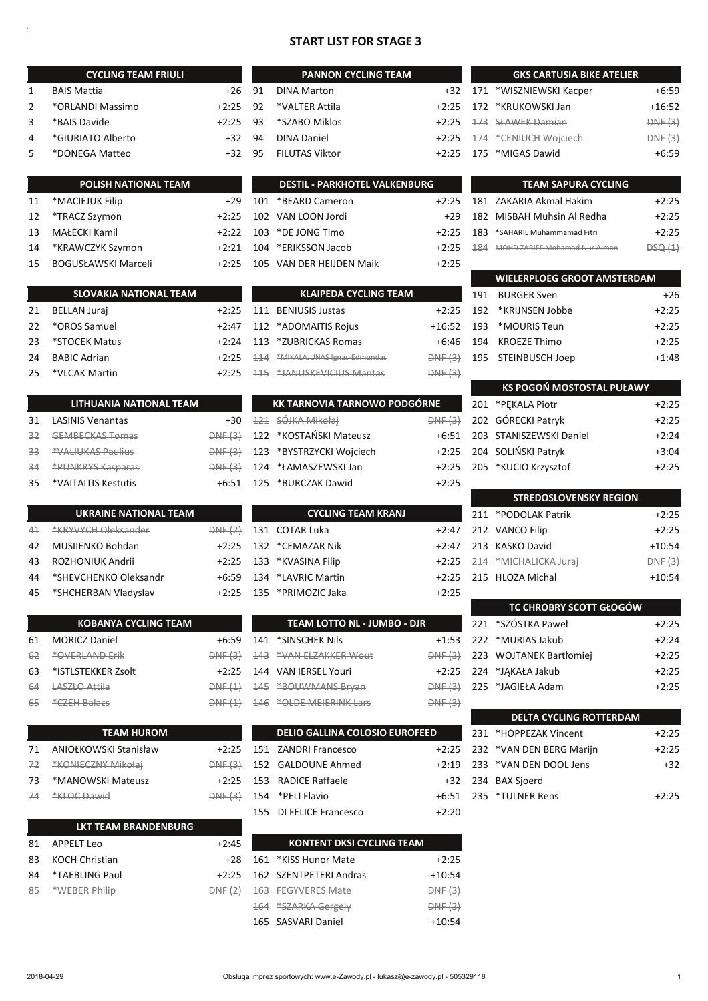### **START LIST FOR STAGE 3**

 $+2:25$ 

|          | <b>CYCLING TEAM FRIULI</b>    |                    |                 |
|----------|-------------------------------|--------------------|-----------------|
| 1        | <b>BAIS Mattia</b>            | $+26$              | 91              |
| 2        | *ORLANDI Massimo              | $+2:25$            | 92              |
| 3        | *BAIS Davide                  | +2:25              | 93              |
| 4        | *GIURIATO Alberto             | +32                | 94              |
| 5        | *DONEGA Matteo                | $+32$              | 95              |
|          | POLISH NATIONAL TEAM          |                    |                 |
| 11       | *MACIEJUK Filip               | $+29$              | $10^{\circ}$    |
| 12       | *TRACZ Szymon                 | $+2:25$            | 102             |
| 13       | <b>MAŁECKI Kamil</b>          | $+2:22$            | 10 <sub>3</sub> |
| 14       | *KRAWCZYK Szymon              | $+2:21$            | 104             |
| 15       | <b>BOGUSŁAWSKI Marceli</b>    | $+2:25$            | 10.             |
|          |                               |                    |                 |
|          | <b>SLOVAKIA NATIONAL TEAM</b> |                    |                 |
| 21       | <b>BELLAN Juraj</b>           | $+2:25$            | 11.             |
| 22       | *OROS Samuel                  | $+2:47$            | 112             |
| 23       | *STOCEK Matus                 | +2:24              | 113             |
| 24       | <b>BABIC Adrian</b>           | +2:25              | 11              |
| 25       | *VLCAK Martin                 | $+2:25$            | $+1$            |
|          | LITHUANIA NATIONAL TEAM       |                    |                 |
| 31       | <b>LASINIS Venantas</b>       | +30                | 12.             |
| $32 -$   | <b>GEMBECKAS Tomas</b>        | DNF(3)             | 12 <sub>2</sub> |
| 33       | <b>*VALIUKAS Paulius</b>      | DNF(3)             | 123             |
| 34       | <b>*PUNKRYS Kasparas</b>      | DNF(3)             | 124             |
| 35       | *VAITAITIS Kestutis           | +6:51              | 125             |
|          | <b>UKRAINE NATIONAL TEAM</b>  |                    |                 |
|          | *KRYVYCH Oleksander           |                    | 13 <sub>2</sub> |
| 41<br>42 | MUSIIENKO Bohdan              | DNF(2)             |                 |
| 43       | ROZHONIUK Andrii              | $+2:25$<br>$+2:25$ | 132<br>133      |
| 44       | *SHEVCHENKO Oleksandr         | +6:59              | 134             |
| 45       | *SHCHERBAN Vladyslav          | $+2:25$            | 135             |
|          |                               |                    |                 |
|          | <b>KOBANYA CYCLING TEAM</b>   |                    |                 |
| 61       | <b>MORICZ Daniel</b>          | +6:59              | 14 <sup>2</sup> |
| 62       | <b>*OVERLAND Erik</b>         | <del>DNF (3)</del> | $+43$           |
| 63       | *ISTLSTEKKER Zsolt            | +2:25              | 144             |
| 64       | <del>LASZLO Attila</del>      | DNF(1)             | 14!             |
| 65       | <del>*CZEH Balazs</del>       | DNF(1)             | $+46$           |
|          | <b>TEAM HUROM</b>             |                    |                 |
| 71       | ANIOŁKOWSKI Stanisław         | $+2:25$            | 15 <sub>1</sub> |
| 72       | *KONIECZNY Mikołaj            | DNF(3)             | 15 <sub>2</sub> |
| 73       | *MANOWSKI Mateusz             | +2:25              | 15 <sub>3</sub> |
| -74      | <b>*KLOC Dawid</b>            | DNF(3)             | 154             |
|          |                               |                    | 15!             |
|          | <b>LKT TEAM BRANDENBURG</b>   |                    |                 |
| 81       | <b>APPELT Leo</b>             | $+2:45$            |                 |
| 83       | <b>KOCH Christian</b>         | +28                | 16:             |
| 84       | *TAEBLING Paul                | +2:25              | 162             |
| 85       | *WEBER Philip                 | DNF(2)             | $\pm 6.5$       |

| <b>PANNON CYCLING TEAM</b> |         |
|----------------------------|---------|
| <b>DINA Marton</b>         | $+32$   |
| *VALTER Attila             | $+2:25$ |
| *SZABO Miklos              | $+2:25$ |
| <b>DINA Daniel</b>         | $+2:25$ |
| <b>FILUTAS Viktor</b>      | $+2:25$ |
|                            |         |

| <b>DESTIL - PARKHOTEL VALKENBURG</b> |         |
|--------------------------------------|---------|
| 101 *BEARD Cameron                   | $+2:25$ |
| 102 VAN LOON Jordi                   | $+29$   |
| 103 *DE JONG Timo                    | $+2:25$ |
| 104 *ERIKSSON Jacob                  | $+2:25$ |
| 105 VAN DER HEIJDEN Maik             | $+2:25$ |

# **KLAIPEDA CYCLING TEAM** 1 BENIUSIS Justas

| 112 *ADOMAITIS Rojus            | $+16:52$ |
|---------------------------------|----------|
| 113 *ZUBRICKAS Romas            | +6:46    |
| 114 *MIKALAJUNAS Ignas-Edmundas | DNF(3)   |
| 115 *JANUSKEVICIUS Mantas       | DNF(3)   |

| <b>KK TARNOVIA TARNOWO PODGÓRNE</b> |                          |         |
|-------------------------------------|--------------------------|---------|
|                                     | 121 SÓJKA Mikołai        | DNE (2) |
|                                     | 122 *KOSTAŃSKI Mateusz   | $+6:51$ |
|                                     | 123 *BYSTRZYCKI Wojciech | $+2:25$ |
|                                     | 124 *ŁAMASZEWSKI Jan     | $+2:25$ |
|                                     | 125 *BURCZAK Dawid       | $+2:25$ |

| <b>CYCLING TEAM KRANJ</b> |         |
|---------------------------|---------|
| L31 COTAR Luka            | $+2:47$ |
| L32 *CEMAZAR Nik          | $+2:47$ |
| L33 *KVASINA Filip        | $+2:25$ |
| L34 *LAVRIC Martin        | $+2:25$ |
| L35 *PRIMOZIC Jaka        | $+2:25$ |

| <b>TEAM LOTTO NL - JUMBO - DJR</b> |         |
|------------------------------------|---------|
| 141 *SINSCHEK Nils                 | $+1:53$ |
| 143 *VAN ELZAKKER Wout             | DNF(3)  |
| 144 VAN IERSEL Youri               | $+2:25$ |
| 145 *BOUWMANS Bryan                | DNF(3)  |
| 146 *OLDE MEIERINK Lars            | DNF(3)  |

### **DELIO GALLINA COLOSIO EUROFEED**

| 151 ZANDRI Francesco    | $+2:25$ |
|-------------------------|---------|
| 152 GALDOUNE Ahmed      | $+2:19$ |
| 153 RADICE Raffaele     | $+32$   |
| 154 *PFII Flavio        | +6:51   |
| 155 DI FELICE Francesco | $+2:20$ |

| <b>KONTENT DKSI CYCLING TEAM</b> |          |
|----------------------------------|----------|
| 161 *KISS Hunor Mate             | $+2:25$  |
| 162 SZENTPETERI Andras           | $+10:54$ |
| 163 FEGYVERES Mate               | DNF(3)   |
| 164 *SZARKA Gergely              | DNF(3)   |
| 165 SASVARI Daniel               | $+10:54$ |

| <b>GKS CARTUSIA BIKE ATELIER</b> |                         |          |
|----------------------------------|-------------------------|----------|
|                                  | 171 *WISZNIEWSKI Kacper | $+6:59$  |
|                                  | 172 *KRUKOWSKI Jan      | $+16:52$ |
|                                  | 173 SŁAWEK Damian       | DNF(3)   |
|                                  | 174 *CENIUCH Wojciech   | DNF(3)   |
|                                  | 175 *MIGAS Dawid        | $+6:59$  |

|               | TEAM SAPURA CYCLING           |         |  |
|---------------|-------------------------------|---------|--|
|               | 181 ZAKARIA Akmal Hakim       | $+2:25$ |  |
|               | 182 MISBAH Muhsin Al Redha    | $+2:25$ |  |
|               | 183 *SAHARIL Muhammamad Fitri | $+2:25$ |  |
| <u> 1 Q A</u> | MOHD ZARIEE Mohamad Nur Aiman | DSQ(1)  |  |

|     | <b>WIELERPLOEG GROOT AMSTERDAM</b> |         |  |
|-----|------------------------------------|---------|--|
| 191 | BURGER Sven                        | +26     |  |
|     | 192 *KRIJNSEN Jobbe                | $+2:25$ |  |
|     | 193 *MOURIS Teun                   | $+2:25$ |  |
| 194 | KROEZE Thimo                       | $+2:25$ |  |
|     | 195 STEINBUSCH Joep                | $+1:48$ |  |

| KS POGOŃ MOSTOSTAL PUŁAWY |                         |         |
|---------------------------|-------------------------|---------|
|                           | 201 *PEKALA Piotr       | $+2:25$ |
|                           | 202 GÓRECKI Patryk      | $+2:25$ |
|                           | 203 STANISZEWSKI Daniel | $+2:24$ |
|                           | 204 SOLIŃSKI Patryk     | $+3:04$ |
|                           | 205 *KUCIO Krzysztof    | $+2:25$ |
|                           |                         |         |

| <b>STREDOSLOVENSKY REGION</b> |                       |          |  |  |  |
|-------------------------------|-----------------------|----------|--|--|--|
|                               | 211 *PODOLAK Patrik   | $+2:25$  |  |  |  |
|                               | 212 VANCO Filip       | $+2:25$  |  |  |  |
|                               | 213 KASKO David       | $+10:54$ |  |  |  |
|                               | 214 *MICHALICKA Juraj | DNF(3)   |  |  |  |
|                               | 215 HLOZA Michal      | $+10:54$ |  |  |  |

| <b>TC CHROBRY SCOTT GŁOGÓW</b> |                         |         |  |  |  |  |
|--------------------------------|-------------------------|---------|--|--|--|--|
|                                | 221 *SZÓSTKA Paweł      | $+2:25$ |  |  |  |  |
|                                | 222 *MURIAS Jakub       | $+2:24$ |  |  |  |  |
|                                | 223 WOJTANEK Bartłomiej | $+2:25$ |  |  |  |  |
|                                | 224 *JAKAŁA Jakub       | $+2:25$ |  |  |  |  |
|                                | 225 *JAGIEŁA Adam       | $+2:25$ |  |  |  |  |

| <b>DELTA CYCLING ROTTERDAM</b> |                          |         |  |  |  |  |
|--------------------------------|--------------------------|---------|--|--|--|--|
|                                | 231 *HOPPEZAK Vincent    | $+2:25$ |  |  |  |  |
|                                | 232 *VAN DEN BERG Marijn | $+2:25$ |  |  |  |  |
|                                | 233 *VAN DEN DOOL Jens   | $+32$   |  |  |  |  |
|                                | 234 BAX Sjoerd           |         |  |  |  |  |
|                                | 235 *TULNER Rens         | $+2:25$ |  |  |  |  |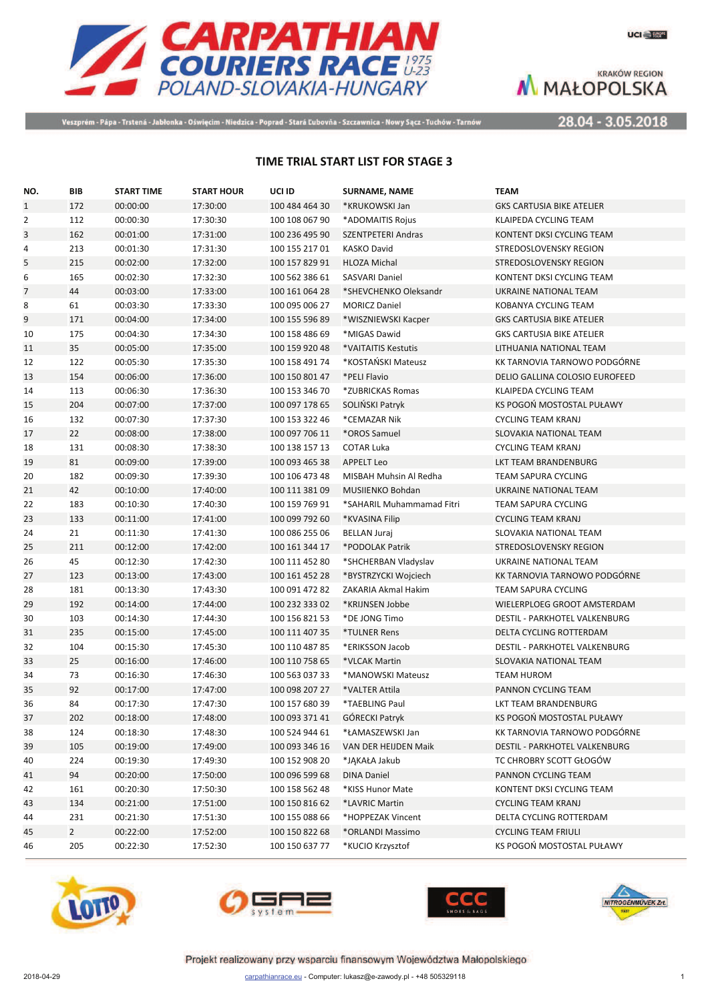

UCI House

**KRAKÓW REGION** M MAŁOPOLSKA

Veszprém - Pápa - Trstená - Jabłonka - Oświęcim - Niedzica - Poprad - Stará Ľubovňa - Szczawnica - Nowy Sącz - Tuchów - Tarnów

28.04 - 3.05.2018

## TIME TRIAL START LIST FOR STAGE 3

| NO.            | BIB            | START TIME | <b>START HOUR</b> | UCI ID         | <b>SURNAME, NAME</b>      | <b>TEAM</b>                      |
|----------------|----------------|------------|-------------------|----------------|---------------------------|----------------------------------|
| $\mathbf{1}$   | 172            | 00:00:00   | 17:30:00          | 100 484 464 30 | *KRUKOWSKI Jan            | <b>GKS CARTUSIA BIKE ATELIER</b> |
| $\overline{2}$ | 112            | 00:00:30   | 17:30:30          | 100 108 067 90 | *ADOMAITIS Rojus          | <b>KLAIPEDA CYCLING TEAM</b>     |
| 3              | 162            | 00:01:00   | 17:31:00          | 100 236 495 90 | <b>SZENTPETERI Andras</b> | KONTENT DKSI CYCLING TEAM        |
| 4              | 213            | 00:01:30   | 17:31:30          | 100 155 217 01 | <b>KASKO David</b>        | STREDOSLOVENSKY REGION           |
| 5              | 215            | 00:02:00   | 17:32:00          | 100 157 829 91 | <b>HLOZA Michal</b>       | STREDOSLOVENSKY REGION           |
| 6              | 165            | 00:02:30   | 17:32:30          | 100 562 386 61 | <b>SASVARI Daniel</b>     | KONTENT DKSI CYCLING TEAM        |
| $\overline{7}$ | 44             | 00:03:00   | 17:33:00          | 100 161 064 28 | *SHEVCHENKO Oleksandr     | UKRAINE NATIONAL TEAM            |
| 8              | 61             | 00:03:30   | 17:33:30          | 100 095 006 27 | <b>MORICZ Daniel</b>      | KOBANYA CYCLING TEAM             |
| 9              | 171            | 00:04:00   | 17:34:00          | 100 155 596 89 | *WISZNIEWSKI Kacper       | <b>GKS CARTUSIA BIKE ATELIER</b> |
| 10             | 175            | 00:04:30   | 17:34:30          | 100 158 486 69 | *MIGAS Dawid              | <b>GKS CARTUSIA BIKE ATELIER</b> |
| 11             | 35             | 00:05:00   | 17:35:00          | 100 159 920 48 | *VAITAITIS Kestutis       | LITHUANIA NATIONAL TEAM          |
| 12             | 122            | 00:05:30   | 17:35:30          | 100 158 491 74 | *KOSTAŃSKI Mateusz        | KK TARNOVIA TARNOWO PODGÓRNE     |
| 13             | 154            | 00:06:00   | 17:36:00          | 100 150 801 47 | *PELI Flavio              | DELIO GALLINA COLOSIO EUROFEED   |
| 14             | 113            | 00:06:30   | 17:36:30          | 100 153 346 70 | *ZUBRICKAS Romas          | KLAIPEDA CYCLING TEAM            |
| 15             | 204            | 00:07:00   | 17:37:00          | 100 097 178 65 | SOLIŃSKI Patryk           | KS POGOŃ MOSTOSTAL PUŁAWY        |
| 16             | 132            | 00:07:30   | 17:37:30          | 100 153 322 46 | *CEMAZAR Nik              | <b>CYCLING TEAM KRANJ</b>        |
| 17             | 22             | 00:08:00   | 17:38:00          | 100 097 706 11 | *OROS Samuel              | SLOVAKIA NATIONAL TEAM           |
| 18             | 131            | 00:08:30   | 17:38:30          | 100 138 157 13 | <b>COTAR Luka</b>         | <b>CYCLING TEAM KRANJ</b>        |
| 19             | 81             | 00:09:00   | 17:39:00          | 100 093 465 38 | <b>APPELT Leo</b>         | <b>LKT TEAM BRANDENBURG</b>      |
| 20             | 182            | 00:09:30   | 17:39:30          | 100 106 473 48 | MISBAH Muhsin Al Redha    | <b>TEAM SAPURA CYCLING</b>       |
| 21             | 42             | 00:10:00   | 17:40:00          | 100 111 381 09 | <b>MUSIIENKO Bohdan</b>   | UKRAINE NATIONAL TEAM            |
| 22             | 183            | 00:10:30   | 17:40:30          | 100 159 769 91 | *SAHARIL Muhammamad Fitri | <b>TEAM SAPURA CYCLING</b>       |
| 23             | 133            | 00:11:00   | 17:41:00          | 100 099 792 60 | *KVASINA Filip            | <b>CYCLING TEAM KRANJ</b>        |
| 24             | 21             | 00:11:30   | 17:41:30          | 100 086 255 06 | <b>BELLAN Juraj</b>       | SLOVAKIA NATIONAL TEAM           |
| 25             | 211            | 00:12:00   | 17:42:00          | 100 161 344 17 | *PODOLAK Patrik           | STREDOSLOVENSKY REGION           |
| 26             | 45             | 00:12:30   | 17:42:30          | 100 111 452 80 | *SHCHERBAN Vladyslav      | UKRAINE NATIONAL TEAM            |
| 27             | 123            | 00:13:00   | 17:43:00          | 100 161 452 28 | *BYSTRZYCKI Wojciech      | KK TARNOVIA TARNOWO PODGÓRNE     |
| 28             | 181            | 00:13:30   | 17:43:30          | 100 091 472 82 | ZAKARIA Akmal Hakim       | <b>TEAM SAPURA CYCLING</b>       |
| 29             | 192            | 00:14:00   | 17:44:00          | 100 232 333 02 | *KRIJNSEN Jobbe           | WIELERPLOEG GROOT AMSTERDAM      |
| 30             | 103            | 00:14:30   | 17:44:30          | 100 156 821 53 | *DE JONG Timo             | DESTIL - PARKHOTEL VALKENBURG    |
| 31             | 235            | 00:15:00   | 17:45:00          | 100 111 407 35 | *TULNER Rens              | DELTA CYCLING ROTTERDAM          |
| 32             | 104            | 00:15:30   | 17:45:30          | 100 110 487 85 | *ERIKSSON Jacob           | DESTIL - PARKHOTEL VALKENBURG    |
| 33             | 25             | 00:16:00   | 17:46:00          | 100 110 758 65 | *VLCAK Martin             | SLOVAKIA NATIONAL TEAM           |
| 34             | 73             | 00:16:30   | 17:46:30          | 100 563 037 33 | *MANOWSKI Mateusz         | <b>TEAM HUROM</b>                |
| 35             | 92             | 00:17:00   | 17:47:00          | 100 098 207 27 | *VALTER Attila            | PANNON CYCLING TEAM              |
| 36             | 84             | 00:17:30   | 17:47:30          | 100 157 680 39 | *TAEBLING Paul            | LKT TEAM BRANDENBURG             |
| 37             | 202            | 00:18:00   | 17:48:00          | 100 093 371 41 | GÓRECKI Patryk            | KS POGOŃ MOSTOSTAL PUŁAWY        |
| 38             | 124            | 00:18:30   | 17:48:30          | 100 524 944 61 | *ŁAMASZEWSKI Jan          | KK TARNOVIA TARNOWO PODGÓRNE     |
| 39             | 105            | 00:19:00   | 17:49:00          | 100 093 346 16 | VAN DER HEIJDEN Maik      | DESTIL - PARKHOTEL VALKENBURG    |
| 40             | 224            | 00:19:30   | 17:49:30          | 100 152 908 20 | *JĄKAŁA Jakub             | TC CHROBRY SCOTT GŁOGÓW          |
| 41             | 94             | 00:20:00   | 17:50:00          | 100 096 599 68 | <b>DINA Daniel</b>        | PANNON CYCLING TEAM              |
| 42             | 161            | 00:20:30   | 17:50:30          | 100 158 562 48 | *KISS Hunor Mate          | KONTENT DKSI CYCLING TEAM        |
| 43             | 134            | 00:21:00   | 17:51:00          | 100 150 816 62 | *LAVRIC Martin            | <b>CYCLING TEAM KRANJ</b>        |
| 44             | 231            | 00:21:30   | 17:51:30          | 100 155 088 66 | *HOPPEZAK Vincent         | DELTA CYCLING ROTTERDAM          |
| 45             | $\overline{2}$ | 00:22:00   | 17:52:00          | 100 150 822 68 | *ORLANDI Massimo          | <b>CYCLING TEAM FRIULI</b>       |
| 46             | 205            | 00:22:30   | 17:52:30          | 100 150 637 77 | *KUCIO Krzysztof          | KS POGOŃ MOSTOSTAL PUŁAWY        |